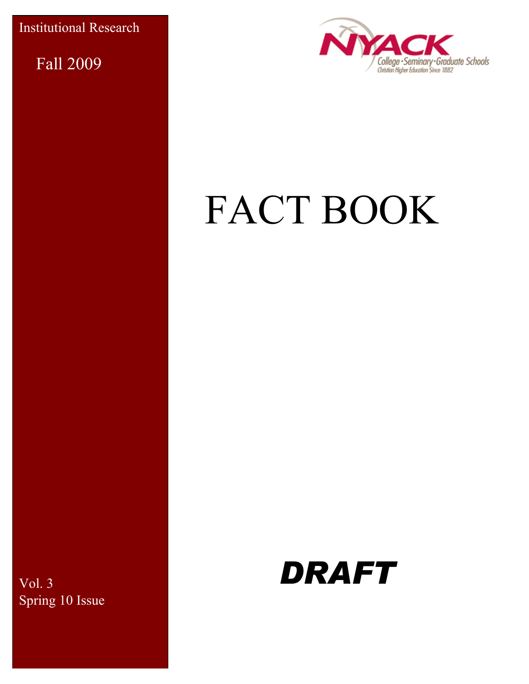Institutional Research

Fall 2009



# FACT BOOK

Vol. 3 Spring 10 Issue

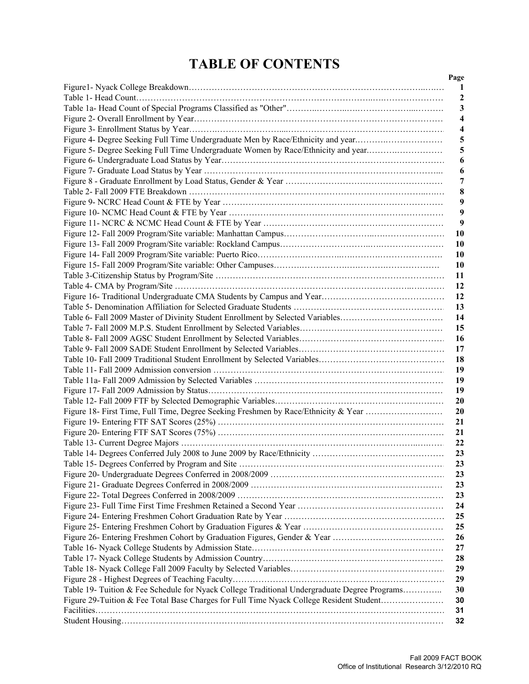# **TABLE OF CONTENTS**

| Figure 4- Degree Seeking Full Time Undergraduate Men by Race/Ethnicity and year<br>Figure 5- Degree Seeking Full Time Undergraduate Women by Race/Ethnicity and year<br>Table 6- Fall 2009 Master of Divinity Student Enrollment by Selected Variables<br>Figure 18- First Time, Full Time, Degree Seeking Freshmen by Race/Ethnicity & Year |  |
|----------------------------------------------------------------------------------------------------------------------------------------------------------------------------------------------------------------------------------------------------------------------------------------------------------------------------------------------|--|
|                                                                                                                                                                                                                                                                                                                                              |  |
|                                                                                                                                                                                                                                                                                                                                              |  |
|                                                                                                                                                                                                                                                                                                                                              |  |
|                                                                                                                                                                                                                                                                                                                                              |  |
|                                                                                                                                                                                                                                                                                                                                              |  |
|                                                                                                                                                                                                                                                                                                                                              |  |
|                                                                                                                                                                                                                                                                                                                                              |  |
|                                                                                                                                                                                                                                                                                                                                              |  |
|                                                                                                                                                                                                                                                                                                                                              |  |
|                                                                                                                                                                                                                                                                                                                                              |  |
|                                                                                                                                                                                                                                                                                                                                              |  |
|                                                                                                                                                                                                                                                                                                                                              |  |
|                                                                                                                                                                                                                                                                                                                                              |  |
|                                                                                                                                                                                                                                                                                                                                              |  |
|                                                                                                                                                                                                                                                                                                                                              |  |
|                                                                                                                                                                                                                                                                                                                                              |  |
|                                                                                                                                                                                                                                                                                                                                              |  |
|                                                                                                                                                                                                                                                                                                                                              |  |
|                                                                                                                                                                                                                                                                                                                                              |  |
|                                                                                                                                                                                                                                                                                                                                              |  |
|                                                                                                                                                                                                                                                                                                                                              |  |
|                                                                                                                                                                                                                                                                                                                                              |  |
|                                                                                                                                                                                                                                                                                                                                              |  |
|                                                                                                                                                                                                                                                                                                                                              |  |
|                                                                                                                                                                                                                                                                                                                                              |  |
|                                                                                                                                                                                                                                                                                                                                              |  |
|                                                                                                                                                                                                                                                                                                                                              |  |
|                                                                                                                                                                                                                                                                                                                                              |  |
|                                                                                                                                                                                                                                                                                                                                              |  |
|                                                                                                                                                                                                                                                                                                                                              |  |
|                                                                                                                                                                                                                                                                                                                                              |  |
|                                                                                                                                                                                                                                                                                                                                              |  |
|                                                                                                                                                                                                                                                                                                                                              |  |
|                                                                                                                                                                                                                                                                                                                                              |  |
|                                                                                                                                                                                                                                                                                                                                              |  |
|                                                                                                                                                                                                                                                                                                                                              |  |
|                                                                                                                                                                                                                                                                                                                                              |  |
|                                                                                                                                                                                                                                                                                                                                              |  |
|                                                                                                                                                                                                                                                                                                                                              |  |
|                                                                                                                                                                                                                                                                                                                                              |  |
|                                                                                                                                                                                                                                                                                                                                              |  |
|                                                                                                                                                                                                                                                                                                                                              |  |
|                                                                                                                                                                                                                                                                                                                                              |  |
|                                                                                                                                                                                                                                                                                                                                              |  |
|                                                                                                                                                                                                                                                                                                                                              |  |
|                                                                                                                                                                                                                                                                                                                                              |  |
|                                                                                                                                                                                                                                                                                                                                              |  |
|                                                                                                                                                                                                                                                                                                                                              |  |
| Table 19- Tuition & Fee Schedule for Nyack College Traditional Undergraduate Degree Programs                                                                                                                                                                                                                                                 |  |
| Figure 29-Tuition & Fee Total Base Charges for Full Time Nyack College Resident Student                                                                                                                                                                                                                                                      |  |
|                                                                                                                                                                                                                                                                                                                                              |  |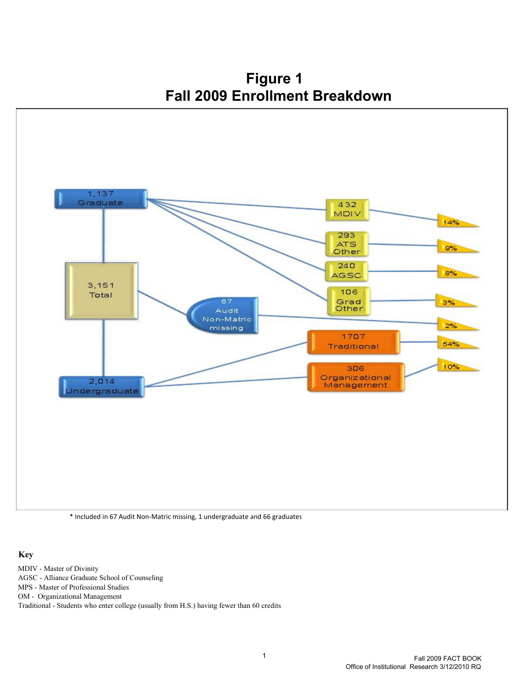**Figure 1 Fall 2009 Enrollment Breakdown**



\* Included in 67 Audit Non-Matric missing, 1 undergraduate and 66 graduates

#### **Key**

MDIV - Master of Divinity AGSC - Alliance Graduate School of Counseling MPS - Master of Professional Studies OM - Organizational Management Traditional - Students who enter college (usually from H.S.) having fewer than 60 credits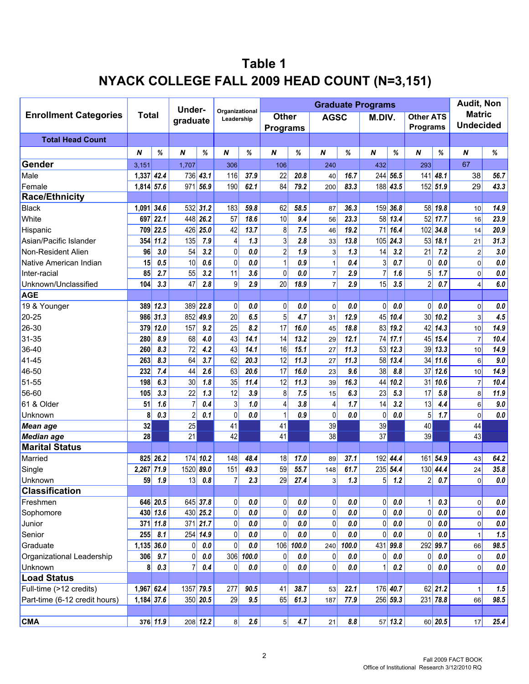# **Table 1 NYACK COLLEGE FALL 2009 HEAD COUNT (N=3,151)**

|                               |              |              | Under-         |            |                              |         |                  |             |                |         | <b>Graduate Programs</b> |             |                  |            | <b>Audit, Non</b> |             |
|-------------------------------|--------------|--------------|----------------|------------|------------------------------|---------|------------------|-------------|----------------|---------|--------------------------|-------------|------------------|------------|-------------------|-------------|
| <b>Enrollment Categories</b>  | <b>Total</b> |              | graduate       |            | Organizational<br>Leadership |         | Other            |             | <b>AGSC</b>    |         | M.DIV.                   |             | <b>Other ATS</b> |            | <b>Matric</b>     |             |
|                               |              |              |                |            |                              |         | <b>Programs</b>  |             |                |         |                          |             | <b>Programs</b>  |            | <b>Undecided</b>  |             |
| <b>Total Head Count</b>       |              |              |                |            |                              |         |                  |             |                |         |                          |             |                  |            |                   |             |
|                               | N            | %            | N              | $\%$       | N                            | $\%$    | $\boldsymbol{N}$ | %           | N              | %       | $\pmb N$                 | %           | N                | %          | N                 | %           |
| Gender                        | 3,151        |              | 1,707          |            | 306                          |         | 106              |             | 240            |         | 432                      |             | 293              |            | 67                |             |
| Male                          | 1,337        | 42.4         | 736            | 43.1       | 116                          | 37.9    | 22               | 20.8        | 40             | 16.7    | 244                      | 56.5        | 141              | 48.1       | 38                | 56.7        |
| Female                        | 1,814        | 57.6         | 971            | 56.9       | 190                          | 62.1    | 84               | 79.2        | 200            | 83.3    | 188                      | 43.5        | 152              | 51.9       | 29                | 43.3        |
| <b>Race/Ethnicity</b>         |              |              |                |            |                              |         |                  |             |                |         |                          |             |                  |            |                   |             |
| <b>Black</b>                  | 1,091        | 34.6         |                | $532$ 31.2 | 183                          | 59.8    | 62               | 58.5        | 87             | 36.3    |                          | 159 36.8    |                  | 58 19.8    | 10                | 14.9        |
| White                         | 697          | 22.1         |                | 448 26.2   | 57                           | 18.6    | 10               | 9.4         | 56             | 23.3    | 58                       | 13.4        |                  | 52 17.7    | 16                | 23.9        |
| Hispanic                      | 709          | 22.5         | 426            | 25.0       | 42                           | 13.7    | 8                | 7.5         | 46             | 19.2    | 71                       | 16.4        |                  | 102 34.8   | 14                | 20.9        |
| Asian/Pacific Islander        | 354          | 11.2         | 135            | 7.9        | 4                            | 1.3     | 3                | 2.8         | 33             | 13.8    | 105                      | 24.3        | 53               | 18.1       | 21                | 31.3        |
| Non-Resident Alien            | 96           | 3.0          | 54             | 3.2        | 0                            | 0.0     | $\overline{c}$   | 1.9         | 3              | 1.3     | 14                       | 3.2         | 21               | 7.2        | $\boldsymbol{2}$  | 3.0         |
| Native American Indian        | 15           | 0.5          | 10             | 0.6        | 0                            | 0.0     | $\mathbf{1}$     | 0.9         | $\mathbf{1}$   | 0.4     | 3                        | 0.7         | 0                | 0.0        | $\mathbf 0$       | $0.0\,$     |
| Inter-racial                  | 85           | 2.7          | 55             | 3.2        | 11                           | 3.6     | $\mathbf 0$      | 0.0         | $\overline{7}$ | 2.9     | $\overline{7}$           | 1.6         | 5                | 1.7        | $\mathbf 0$       | $0.0\,$     |
| Unknown/Unclassified          | 104          | 3.3          | 47             | 2.8        | 9                            | 2.9     | 20               | 18.9        | $\overline{7}$ | 2.9     | 15                       | 3.5         | $\overline{2}$   | 0.7        | $\overline{4}$    | 6.0         |
| <b>AGE</b>                    |              |              |                |            |                              |         |                  |             |                |         |                          |             |                  |            |                   |             |
| 19 & Younger                  | <b>389</b>   | 12.3         | 389            | 22.8       | 0                            | 0.0     | $\pmb{0}$        | 0.0         | $\mathbf 0$    | 0.0     | $\mathbf{0}$             | $0.0\,$     | $\mathbf 0$      | 0.0        | $\mathbf 0$       | $0.0\,$     |
| $20 - 25$                     | 986          | 31.3         | 852            | 49.9       | 20                           | 6.5     | $\overline{5}$   | 4.7         | 31             | 12.9    | 45                       | 10.4        | 30               | 10.2       | 3                 | 4.5         |
| 26-30                         | 379          | $12.0$       | 157            | 9.2        | 25                           | 8.2     | 17               | 16.0        | 45             | 18.8    | 83                       | 19.2        |                  | $42$ 14.3  | 10                | 14.9        |
| 31-35                         | 280          | 8.9          | 68             | 4.0        | 43                           | 14.1    | 14               | 13.2        | 29             | 12.1    | 74                       | 17.1        | 45               | 15.4       | $\overline{7}$    | 10.4        |
| 36-40                         | 260          | 8.3          | 72             | 4.2        | 43                           | 14.1    | 16               | 15.1        | 27             | 11.3    | 53                       | 12.3        | 39               | 13.3       | 10                | 14.9        |
| 41-45                         | 263          | 8.3          | 64             | 3.7        | 62                           | 20.3    | 12               | 11.3        | 27             | 11.3    | 58                       | 13.4        | 34               | 11.6       | 6                 | 9.0         |
| 46-50                         | 232          | 7.4          | 44             | 2.6        | 63                           | 20.6    | 17               | 16.0        | 23             | 9.6     | 38                       | 8.8         | 37               | 12.6       | 10                | 14.9        |
| 51-55                         | 198          | 6.3          | 30             | 1.8        | 35                           | 11.4    | 12               | 11.3        | 39             | 16.3    | 44                       | 10.2        | 31               | 10.6       | $\overline{7}$    | 10.4        |
| 56-60                         | 105          | 3.3          | 22             | 1.3        | 12                           | 3.9     | 8                | 7.5         | 15             | 6.3     | 23                       | 5.3         | 17               | 5.8        | 8                 | 11.9        |
| 61 & Older                    | 51           | 1.6          | $\overline{7}$ | 0.4        | 3                            | 1.0     | 4                | 3.8         | 4              | 1.7     | 14                       | 3.2         | 13               | 4.4        | 6                 | $9.0\,$     |
| Unknown                       | 8            | 0.3          | $\sqrt{2}$     | 0.1        | $\pmb{0}$                    | 0.0     | 1                | 0.9         | 0              | 0.0     | 0                        | 0.0         | 5                | 1.7        | $\mathbf 0$       | $0.0\,$     |
| <b>Mean age</b>               | 32           |              | 25             |            | 41                           |         | 41               |             | 39             |         | 39                       |             | 40               |            | 44                |             |
| Median age                    | 28           |              | 21             |            | 42                           |         | 41               |             | 38             |         | 37                       |             | 39               |            | 43                |             |
| <b>Marital Status</b>         |              |              |                |            |                              |         |                  |             |                |         |                          |             |                  |            |                   |             |
| Married                       | 825          | 26.2         | 174            | 10.2       | 148                          | 48.4    | 18               | 17.0        | 89             | 37.1    | 192                      | 44.4        | 161              | 54.9       | 43                | 64.2        |
| Single                        | 2,267        | 71.9         | 1520           | 89.0       | 151                          | 49.3    | 59               | 55.7        | 148            | 61.7    |                          | $235$ 54.4  | 130              | 44.4       | 24                | 35.8        |
| Unknown                       | 59           | 1.9          | 13             | 0.8        | $\overline{7}$               | 2.3     | 29               | 27.4        | 3              | 1.3     | 5                        | 1.2         | $\sqrt{2}$       | 0.7        | $\Omega$          | $0.0\,$     |
| <b>Classification</b>         |              |              |                |            |                              |         |                  |             |                |         |                          |             |                  |            |                   |             |
| Freshmen                      |              | 646 20.5     |                | $645$ 37.8 | $\overline{0}$               | 0.0     | $\pmb{0}$        | $0.0\,$     | 0              | 0.0     | 0                        | 0.0         | 1                | 0.3        | $\mathbf 0$       | $0.0\,$     |
| Sophomore                     | 430          | 13.6         |                | 430 25.2   | $\overline{0}$               | $0.0\,$ | 0                | $0.0\,$     | 0              | $0.0\,$ | 0                        | $0.0\,$     | 0                | $0.0\,$    | $\mathbf 0$       | $0.0\,$     |
| Junior                        |              | $371$ 11.8   |                | $371$ 21.7 | 0                            | $0.0\,$ | $\pmb{0}$        | $\pmb{0.0}$ | 0              | 0.0     | 0                        | $0.0\,$     | 0                | $0.0\,$    | $\mathbf 0$       | $\pmb{0.0}$ |
| Senior                        | 255          | 8.1          |                | 254 14.9   | 0                            | 0.0     | $\pmb{0}$        | $0.0\,$     | $\overline{0}$ | 0.0     | $\Omega$                 | $0.0\,$     | $\mathbf 0$      | $0.0\,$    |                   | 1.5         |
| Graduate                      | $1,135$ 36.0 |              | 0              | $0.0\,$    | $\overline{0}$               | $0.0\,$ |                  | 106 100.0   | 240            | 100.0   |                          | $431$ 99.8  |                  | 292 99.7   | 66                | 98.5        |
| Organizational Leadership     | 306          | 9.7          | 0              | $0.0\,$    | 306                          | 100.0   | 0                | $0.0\,$     | 0              | 0.0     | 0                        | $\pmb{0.0}$ | 0                | $0.0\,$    | $\mathbf 0$       | $0.0\,$     |
| Unknown                       | 8            | 0.3          | $\overline{7}$ | 0.4        | 0                            | 0.0     | 0                | 0.0         | 0              | 0.0     |                          | 0.2         | 0                | 0.0        | $\mathbf 0$       | $0.0\,$     |
| <b>Load Status</b>            |              |              |                |            |                              |         |                  |             |                |         |                          |             |                  |            |                   |             |
| Full-time (>12 credits)       |              | 1,967 62.4   | 1357 79.5      |            | 277                          | 90.5    | 41               | 38.7        | 53             | 22.1    |                          | 176 40.7    |                  | $62$ 21.2  |                   | 1.5         |
| Part-time (6-12 credit hours) |              | $1,184$ 37.6 |                | $350$ 20.5 | 29                           | 9.5     | 65               | 61.3        | 187            | 77.9    |                          | $256$ 59.3  |                  | $231$ 78.8 | 66                | 98.5        |
|                               |              |              |                |            |                              |         |                  |             |                |         |                          |             |                  |            |                   |             |
| <b>CMA</b>                    |              | 376 11.9     |                | $208$ 12.2 | 8                            | 2.6     | 5                | 4.7         | 21             | 8.8     |                          | $57$ 13.2   |                  | 60 20.5    | 17                | 25.4        |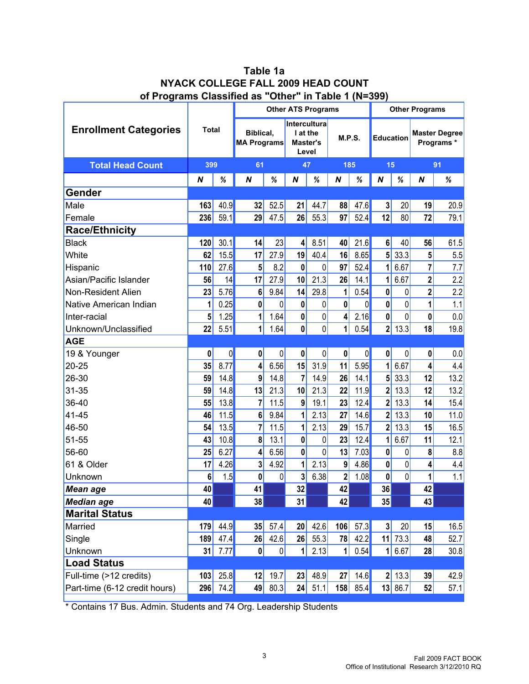| Table 1a                                             |
|------------------------------------------------------|
| NYACK COLLEGE FALL 2009 HEAD COUNT                   |
| of Programs Classified as "Other" in Table 1 (N=399) |

|                               |              |          |                                 |      | <b>Other ATS Programs</b>                            |                |          |      |                         |                  | <b>Other Programs</b>   |                                   |
|-------------------------------|--------------|----------|---------------------------------|------|------------------------------------------------------|----------------|----------|------|-------------------------|------------------|-------------------------|-----------------------------------|
| <b>Enrollment Categories</b>  | <b>Total</b> |          | Biblical,<br><b>MA Programs</b> |      | <b>Intercultura</b><br>I at the<br>Master's<br>Level |                | M.P.S.   |      |                         | <b>Education</b> |                         | <b>Master Degree</b><br>Programs* |
| <b>Total Head Count</b>       |              | 399      |                                 |      | 47                                                   |                | 185      |      | 15                      |                  | 91                      |                                   |
|                               | N            | $\%$     | $\boldsymbol{N}$                | %    | $\boldsymbol{N}$                                     | %              | $\pmb N$ | %    | $\boldsymbol{N}$        | $\%$             | $\boldsymbol{N}$        | %                                 |
| Gender                        |              |          |                                 |      |                                                      |                |          |      |                         |                  |                         |                                   |
| Male                          | 163          | 40.9     | 32                              | 52.5 | 21                                                   | 44.7           | 88       | 47.6 | 3                       | 20               | 19                      | 20.9                              |
| Female                        | 236          | 59.1     | 29                              | 47.5 | 26                                                   | 55.3           | 97       | 52.4 | 12                      | 80               | 72                      | 79.1                              |
| <b>Race/Ethnicity</b>         |              |          |                                 |      |                                                      |                |          |      |                         |                  |                         |                                   |
| <b>Black</b>                  | 120          | 30.1     | 14                              | 23   | 4                                                    | 8.51           | 40       | 21.6 | 6                       | 40               | 56                      | 61.5                              |
| White                         | 62           | 15.5     | 17                              | 27.9 | 19                                                   | 40.4           | 16       | 8.65 | 5                       | 33.3             | 5                       | 5.5                               |
| Hispanic                      | 110          | 27.6     | 5                               | 8.2  | 0                                                    | 0              | 97       | 52.4 | 1                       | 6.67             | $\overline{7}$          | 7.7                               |
| Asian/Pacific Islander        | 56           | 14       | 17                              | 27.9 | 10                                                   | 21.3           | 26       | 14.1 | 1                       | 6.67             | $\mathbf{2}$            | 2.2                               |
| Non-Resident Alien            | 23           | 5.76     | 6                               | 9.84 | 14                                                   | 29.8           | 1        | 0.54 | $\bf{0}$                | 0                | $\overline{\mathbf{c}}$ | 2.2                               |
| Native American Indian        | 1            | 0.25     | 0                               | 0    | $\pmb{0}$                                            | 0              | $\bf{0}$ | 0    | $\mathbf{0}$            | 0                | 1                       | 1.1                               |
| Inter-racial                  | 5            | 1.25     | 1                               | 1.64 | $\pmb{0}$                                            | 0              | 4        | 2.16 | $\mathbf 0$             | 0                | 0                       | 0.0                               |
| Unknown/Unclassified          | 22           | 5.51     | 1                               | 1.64 | $\mathbf 0$                                          | $\mathbf 0$    | 1        | 0.54 | $\overline{\mathbf{2}}$ | 13.3             | 18                      | 19.8                              |
| <b>AGE</b>                    |              |          |                                 |      |                                                      |                |          |      |                         |                  |                         |                                   |
| 19 & Younger                  | 0            | 0        | 0                               | 0    | $\pmb{0}$                                            | 0              | $\bf{0}$ | 0    | $\mathbf 0$             | 0                | 0                       | 0.0                               |
| $20 - 25$                     | 35           | 8.77     | 4                               | 6.56 | 15                                                   | 31.9           | 11       | 5.95 | 1                       | 6.67             | 4                       | 4.4                               |
| 26-30                         | 59           | 14.8     | 9                               | 14.8 | $\overline{7}$                                       | 14.9           | 26       | 14.1 | 5                       | 33.3             | 12                      | 13.2                              |
| 31-35                         | 59           | 14.8     | 13                              | 21.3 | 10                                                   | 21.3           | 22       | 11.9 | $\overline{2}$          | 13.3             | 12                      | 13.2                              |
| 36-40                         | 55           | 13.8     | $\overline{7}$                  | 11.5 | 9                                                    | 19.1           | 23       | 12.4 | $\overline{\mathbf{2}}$ | 13.3             | 14                      | 15.4                              |
| 41-45                         | 46           | 11.5     | 6                               | 9.84 | 1                                                    | 2.13           | 27       | 14.6 | $\overline{2}$          | 13.3             | 10                      | 11.0                              |
| 46-50                         | 54           | 13.5     | $\overline{7}$                  | 11.5 | 1                                                    | 2.13           | 29       | 15.7 | $\overline{2}$          | 13.3             | 15                      | 16.5                              |
| 51-55                         | 43           | 10.8     | 8                               | 13.1 | $\mathbf 0$                                          | 0              | 23       | 12.4 | 1                       | 6.67             | 11                      | 12.1                              |
| 56-60                         | 25           | 6.27     | 4                               | 6.56 | $\mathbf 0$                                          | $\overline{0}$ | 13       | 7.03 | $\mathbf 0$             | 0                | 8                       | 8.8                               |
| 61 & Older                    | 17           | 4.26     | 3                               | 4.92 | 1                                                    | 2.13           | 9        | 4.86 | $\mathbf 0$             | 0                | 4                       | 4.4                               |
| Unknown                       | 6            | 1.5      | 0                               | 0    | 3                                                    | 6.38           | $2\vert$ | 1.08 | $\pmb{0}$               | $\mathbf 0$      | 1                       | 1.1                               |
| <b>Mean age</b>               | 40           |          | 41                              |      | 32                                                   |                | 42       |      | 36                      |                  | 42                      |                                   |
| <b>Median age</b>             | 40           |          | 38                              |      | 31                                                   |                | 42       |      | 35                      |                  | 43                      |                                   |
| <b>Marital Status</b>         |              |          |                                 |      |                                                      |                |          |      |                         |                  |                         |                                   |
| Married                       | 179          | 44.9     | 35                              | 57.4 | 20                                                   | 42.6           | 106      | 57.3 | $\mathbf{3}$            | 20               | 15                      | 16.5                              |
| Single                        | 189          | 47.4     | 26                              | 42.6 | 26                                                   | 55.3           | 78       | 42.2 | 11                      | 73.3             | 48                      | 52.7                              |
| Unknown                       | 31           | 7.77     | $\pmb{0}$                       | 0    | $\mathbf 1$                                          | 2.13           | 1        | 0.54 | 1                       | 6.67             | 28                      | 30.8                              |
| <b>Load Status</b>            |              |          |                                 |      |                                                      |                |          |      |                         |                  |                         |                                   |
| Full-time (>12 credits)       | 103          | 25.8     | 12                              | 19.7 | 23                                                   | 48.9           | 27       | 14.6 |                         | $2$ 13.3         | 39                      | 42.9                              |
| Part-time (6-12 credit hours) |              | 296 74.2 | 49                              | 80.3 | 24                                                   | 51.1           | 158      | 85.4 |                         | 13 86.7          | 52                      | 57.1                              |

\* Contains 17 Bus. Admin. Students and 74 Org. Leadership Students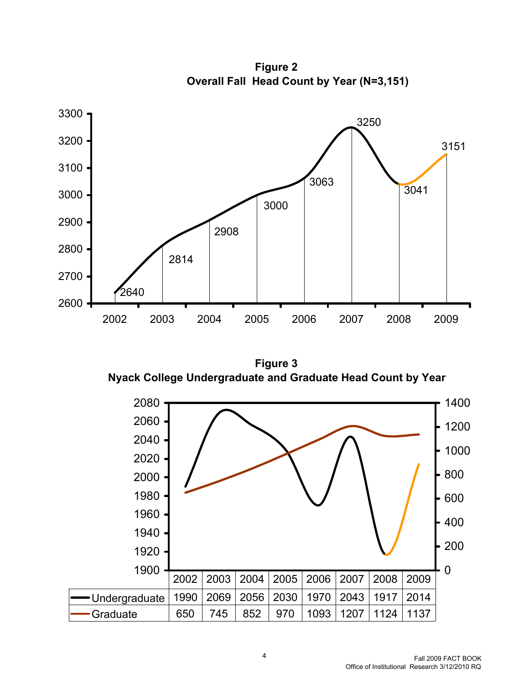

**Overall Fall Head Count by Year (N=3,151) Figure 2**

**Figure 3 Nyack College Undergraduate and Graduate Head Count by Year** 

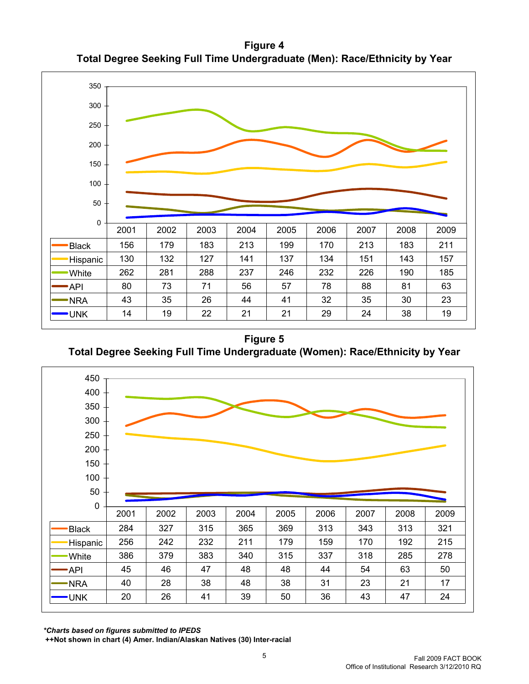**Figure 4 Total Degree Seeking Full Time Undergraduate (Men): Race/Ethnicity by Year**



**Figure 5 Total Degree Seeking Full Time Undergraduate (Women): Race/Ethnicity by Year**



*\*Charts based on figures submitted to IPEDS*

 **++Not shown in chart (4) Amer. Indian/Alaskan Natives (30) Inter-racial**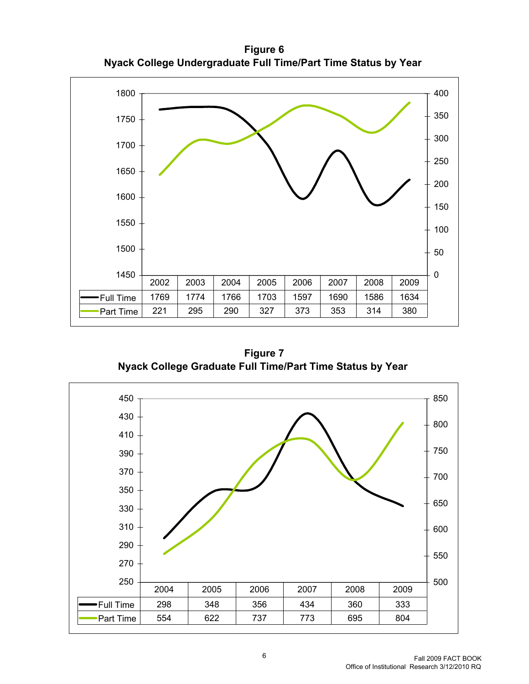**Figure 6 Nyack College Undergraduate Full Time/Part Time Status by Year** 



**Figure 7 Nyack College Graduate Full Time/Part Time Status by Year** 

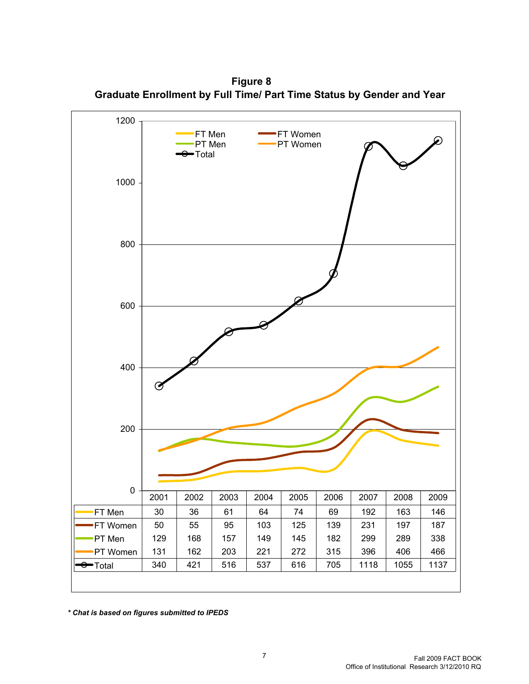**Figure 8 Graduate Enrollment by Full Time/ Part Time Status by Gender and Year**



*\* Chat is based on figures submitted to IPEDS*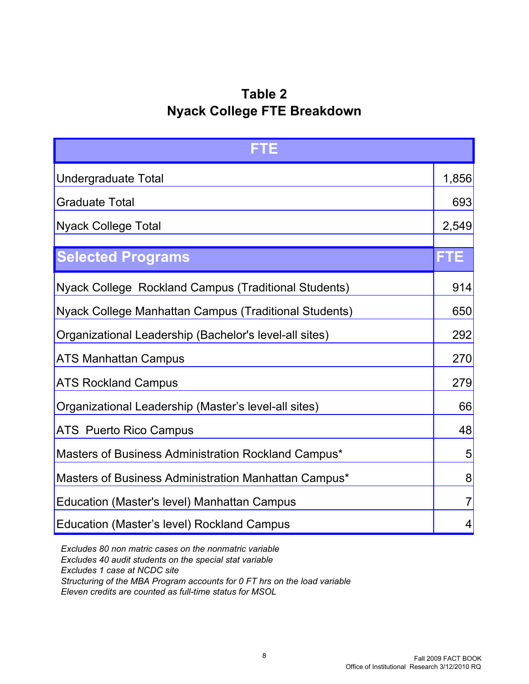## **Table 2 Nyack College FTE Breakdown**

| FTE                                                    |                |  |  |  |  |
|--------------------------------------------------------|----------------|--|--|--|--|
| Undergraduate Total                                    | 1,856          |  |  |  |  |
| <b>Graduate Total</b>                                  |                |  |  |  |  |
| <b>Nyack College Total</b>                             | 2,549          |  |  |  |  |
| <b>Selected Programs</b>                               | FTE            |  |  |  |  |
| Nyack College Rockland Campus (Traditional Students)   | 914            |  |  |  |  |
| Nyack College Manhattan Campus (Traditional Students)  | 650            |  |  |  |  |
| Organizational Leadership (Bachelor's level-all sites) |                |  |  |  |  |
| <b>ATS Manhattan Campus</b>                            | 270            |  |  |  |  |
| <b>ATS Rockland Campus</b>                             | 279            |  |  |  |  |
| Organizational Leadership (Master's level-all sites)   | 66             |  |  |  |  |
| <b>ATS</b> Puerto Rico Campus                          | 48             |  |  |  |  |
| Masters of Business Administration Rockland Campus*    | 5              |  |  |  |  |
| Masters of Business Administration Manhattan Campus*   | 8              |  |  |  |  |
| Education (Master's level) Manhattan Campus            | $\overline{7}$ |  |  |  |  |
| Education (Master's level) Rockland Campus             | 4              |  |  |  |  |

 *Excludes 80 non matric cases on the nonmatric variable Excludes 40 audit students on the special stat variable Excludes 1 case at NCDC site Structuring of the MBA Program accounts for 0 FT hrs on the load variable Eleven credits are counted as full-time status for MSOL*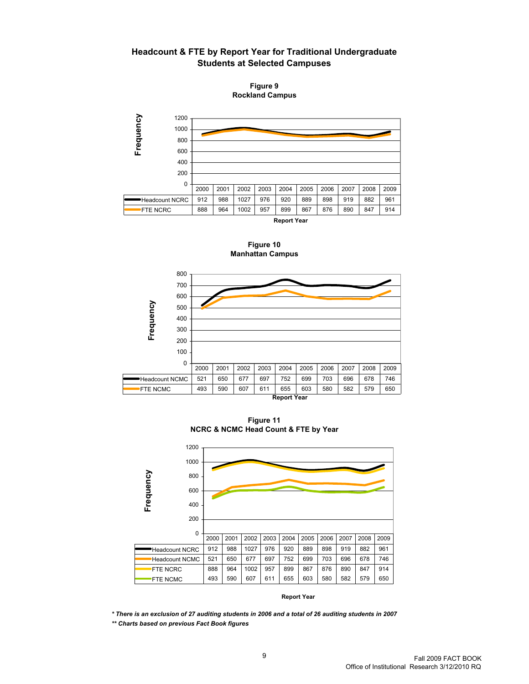**Headcount & FTE by Report Year for Traditional Undergraduate Students at Selected Campuses**

**Rockland Campus Figure 9**



**Figure 10 Manhattan Campus**



**Figure 11 NCRC & NCMC Head Count & FTE by Year**



**Report Year**

*\* There is an exclusion of 27 auditing students in 2006 and a total of 26 auditing students in 2007 \*\* Charts based on previous Fact Book figures*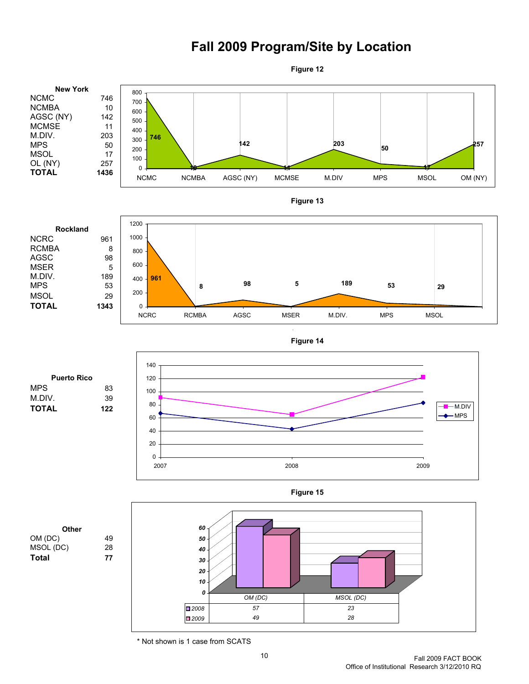## **Fall 2009 Program/Site by Location**



\* Not shown is 1 case from SCATS

10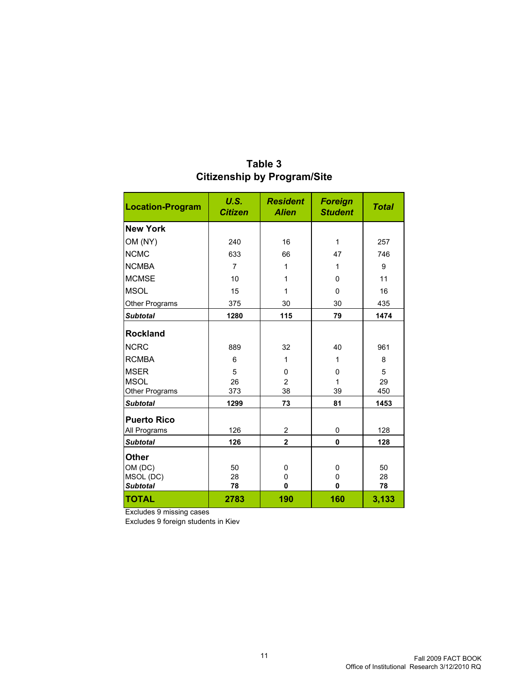| <b>Location-Program</b> | U.S.<br><b>Citizen</b> | <b>Resident</b><br><b>Alien</b> | <b>Foreign</b><br><b>Student</b> | <b>Total</b> |
|-------------------------|------------------------|---------------------------------|----------------------------------|--------------|
| <b>New York</b>         |                        |                                 |                                  |              |
| OM (NY)                 | 240                    | 16                              | 1                                | 257          |
| <b>NCMC</b>             | 633                    | 66                              | 47                               | 746          |
| <b>NCMBA</b>            | $\overline{7}$         | 1                               | 1                                | 9            |
| <b>MCMSE</b>            | 10                     | 1                               | $\Omega$                         | 11           |
| <b>MSOL</b>             | 15                     | 1                               | $\mathbf{0}$                     | 16           |
| Other Programs          | 375                    | 30                              | 30                               | 435          |
| <b>Subtotal</b>         | 1280                   | 115                             | 79                               | 1474         |
| <b>Rockland</b>         |                        |                                 |                                  |              |
| <b>NCRC</b>             | 889                    | 32                              | 40                               | 961          |
| <b>RCMBA</b>            | 6                      | 1                               | 1                                | 8            |
| <b>MSER</b>             | 5                      | 0                               | 0                                | 5            |
| <b>MSOL</b>             | 26                     | $\overline{2}$                  | 1                                | 29           |
| Other Programs          | 373                    | 38                              | 39                               | 450          |
| <b>Subtotal</b>         | 1299                   | 73                              | 81                               | 1453         |
| <b>Puerto Rico</b>      |                        |                                 |                                  |              |
| All Programs            | 126                    | 2                               | $\pmb{0}$                        | 128          |
| <b>Subtotal</b>         | 126                    | $\overline{2}$                  | 0                                | 128          |
| <b>Other</b>            |                        |                                 |                                  |              |
| OM (DC)                 | 50                     | 0                               | $\mathbf 0$                      | 50           |
| MSOL (DC)               | 28                     | 0                               | $\mathbf 0$                      | 28           |
| <b>Subtotal</b>         | 78                     | 0                               | $\mathbf{0}$                     | 78           |
| <b>TOTAL</b>            | 2783                   | 190                             | 160                              | 3,133        |

#### **Table 3 Citizenship by Program/Site**

Excludes 9 missing cases

Excludes 9 foreign students in Kiev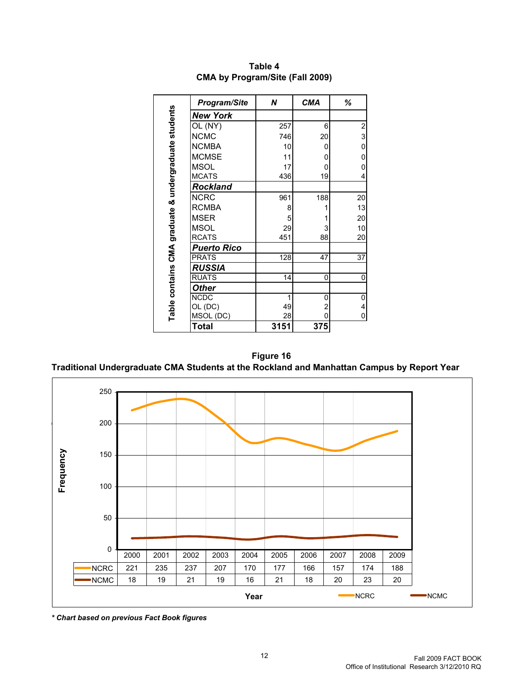|                                                      | Program/Site       | N    | <b>CMA</b> | ℅                       |
|------------------------------------------------------|--------------------|------|------------|-------------------------|
| Table contains CMA graduate & undergraduate students | <b>New York</b>    |      |            |                         |
|                                                      | OL (NY)            | 257  | 6          | $\overline{\mathbf{c}}$ |
|                                                      | <b>NCMC</b>        | 746  | 20         | 3                       |
|                                                      | <b>NCMBA</b>       | 10   | 0          | $\mathbf 0$             |
|                                                      | <b>MCMSE</b>       | 11   | 0          | 0                       |
|                                                      | MSOL               | 17   | 0          | 0                       |
|                                                      | <b>MCATS</b>       | 436  | 19         | 4                       |
|                                                      | <b>Rockland</b>    |      |            |                         |
|                                                      | <b>NCRC</b>        | 961  | 188        | 20                      |
|                                                      | <b>RCMBA</b>       | 8    | 1          | 13                      |
|                                                      | MSER               | 5    |            | 20                      |
|                                                      | MSOL               | 29   | 3          | 10                      |
|                                                      | <b>RCATS</b>       | 451  | 88         | 20                      |
|                                                      | <b>Puerto Rico</b> |      |            |                         |
|                                                      | <b>PRATS</b>       | 128  | 47         | 37                      |
|                                                      | <b>RUSSIA</b>      |      |            |                         |
|                                                      | <b>RUATS</b>       | 14   | 0          | 0                       |
|                                                      | <b>Other</b>       |      |            |                         |
|                                                      | <b>NCDC</b>        | 1    | 0          | 0                       |
|                                                      | OL (DC)            | 49   | 2          | 4                       |
|                                                      | MSOL (DC)          | 28   | 0          | 0                       |
|                                                      | <b>Total</b>       | 3151 | 375        |                         |

**Table 4 CMA by Program/Site (Fall 2009)**

**Traditional Undergraduate CMA Students at the Rockland and Manhattan Campus by Report Year Figure 16**

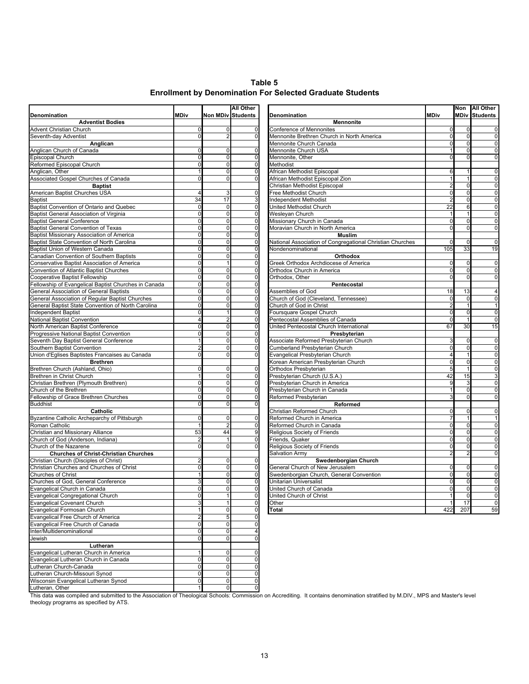**Enrollment by Denomination For Selected Graduate Students Table 5**

|                                                                                        |                      |                         | <b>All Other</b>         |                                                                     |             |                      | Non All Other        |
|----------------------------------------------------------------------------------------|----------------------|-------------------------|--------------------------|---------------------------------------------------------------------|-------------|----------------------|----------------------|
| Denomination                                                                           | <b>MDiv</b>          |                         | <b>Non MDiv Students</b> | Denomination                                                        | <b>MDiv</b> |                      | <b>MDiv Students</b> |
| <b>Adventist Bodies</b>                                                                |                      |                         |                          | <b>Mennonite</b>                                                    |             |                      |                      |
| Advent Christian Church                                                                | 0                    |                         | 0                        | Conference of Mennonites                                            | 0           | 0                    | 0                    |
| Seventh-day Adventist                                                                  | $\Omega$             |                         | 0                        | Mennonite Brethren Church in North America                          | $\Omega$    | $\mathbf 0$          | $\mathbf 0$          |
| Anglican                                                                               |                      |                         | $\Omega$                 | Mennonite Church Canada                                             | 0           | $\Omega$<br>$\Omega$ | 0                    |
| Anglican Church of Canada<br>Episcopal Church                                          |                      | C<br>$\Omega$           | $\Omega$                 | Mennonite Church USA<br>Mennonite, Other                            |             | $\Omega$             | 0<br>0               |
| Reformed Episcopal Church                                                              | $\Omega$             | $\Omega$                | $\mathbf 0$              | Methodist                                                           |             |                      |                      |
| Anglican, Other                                                                        |                      | $\Omega$                | $\Omega$                 | African Methodist Episcopal                                         | 6           |                      | 0                    |
| Associated Gospel Churches of Canada                                                   | $\Omega$             | $\mathbf 0$             | $\Omega$                 | African Methodist Episcopal Zion                                    |             |                      | $\mathbf 0$          |
| <b>Baptist</b>                                                                         |                      |                         |                          | Christian Methodist Episcopal                                       |             | 0                    | $\circ$              |
| American Baptist Churches USA                                                          | 4                    | 3                       | $\mathbf 0$              | Free Methodist Church                                               | $\Omega$    | 0                    | 0                    |
| Baptist                                                                                | 34                   | 17                      |                          | Independent Methodist                                               |             | 0                    | 0                    |
| Baptist Convention of Ontario and Quebec                                               | $\Omega$             | $\mathbf 0$             | $\Omega$                 | United Methodist Church                                             | 22          | 6                    | 0                    |
| Baptist General Association of Virginia                                                | $\Omega$             | $\Omega$                | 0                        | Wesleyan Church                                                     |             |                      | $\mathbf 0$          |
| <b>Baptist General Conference</b>                                                      | $\Omega$             | $\mathbf 0$             | 0                        | Missionary Church in Canada                                         | 0           | 0                    | 0                    |
| Baptist General Convention of Texas                                                    | $\Omega$             | $\mathbf 0$             | $\Omega$                 | Moravian Church in North America                                    |             | $\overline{0}$       | 0                    |
| Baptist Missionary Association of America                                              | $\mathbf 0$          | $\mathbf 0$             | $\Omega$                 | <b>Muslim</b>                                                       |             |                      |                      |
| Baptist State Convention of North Carolina                                             | $\mathbf 0$          | $\mathbf 0$             | $\mathbf 0$              | National Association of Congregational Christian Churches           | 0           | 0                    | $\mathbf 0$          |
| Baptist Union of Western Canada                                                        | $\Omega$             | $\Omega$<br>$\Omega$    | 0                        | Nondenominational                                                   | 105         | 33                   | 19                   |
| Canadian Convention of Southern Baptists                                               | $\Omega$<br>$\Omega$ |                         | $\Omega$<br>$\mathbf 0$  | Orthodox                                                            |             |                      |                      |
| Conservative Baptist Association of America<br>Convention of Atlantic Baptist Churches | $\Omega$             | $\Omega$                | 0                        | Greek Orthodox Archdiocese of America<br>Orthodox Church in America | 0<br>0      | 0<br>0               | 0<br>0               |
| Cooperative Baptist Fellowship                                                         | $\Omega$             | $\sqrt{ }$              | $\Omega$                 | Orthodox, Other                                                     |             | $\Omega$             | 0                    |
| Fellowship of Evangelical Baptist Churches in Canada                                   | $\Omega$             | $\Omega$                | $\Omega$                 | Pentecostal                                                         |             |                      |                      |
| <b>General Association of General Baptists</b>                                         | $\Omega$             | $\mathbf 0$             | 0                        | Assemblies of God                                                   | 18          | 13                   | 4                    |
| General Association of Regular Baptist Churches                                        | 0                    | $\Omega$                | 0                        | Church of God (Cleveland, Tennessee)                                | 0           | 0                    | $\circ$              |
| General Baptist State Convention of North Carolina                                     | $\Omega$             | $\Omega$                | $\Omega$                 | Church of God in Christ                                             |             |                      | 1                    |
| Independent Baptist                                                                    | $\Omega$             |                         | 0                        | Foursquare Gospel Church                                            | 0           | $\mathbf 0$          | $\overline{0}$       |
| <b>National Baptist Convention</b>                                                     |                      |                         | 0                        | Pentecostal Assemblies of Canada                                    | $\Omega$    |                      | 0                    |
| North American Baptist Conference                                                      |                      | $\sqrt{ }$              | $\Omega$                 | United Pentecostal Church International                             | 67          | 30                   | 15                   |
| Progressive National Baptist Convention                                                |                      | $\Omega$                | $\Omega$                 | Presbyterian                                                        |             |                      |                      |
| Seventh Day Baptist General Conference                                                 |                      | $\mathbf 0$             | $\mathbf 0$              | Associate Reformed Presbyterian Church                              |             | 0                    | $\circ$              |
| Southern Baptist Convention                                                            |                      | $\Omega$                | $\Omega$                 | Cumberland Presbyterian Church                                      | ŋ           | 0                    | 0                    |
| Union d'Eglises Baptistes Francaises au Canada                                         |                      | $\Omega$                | $\Omega$                 | Evangelical Presbyterian Church                                     |             |                      | $\mathbf 0$          |
| <b>Brethren</b>                                                                        |                      |                         |                          | Korean American Presbyterian Church                                 |             | $\Omega$             | 0                    |
| Brethren Church (Ashland, Ohio)                                                        | 0                    | $\mathbf 0$             | 0                        | Orthodox Presbyterian                                               |             |                      | 0                    |
| Brethren in Christ Church                                                              |                      | $\Omega$                | $\Omega$                 | Presbyterian Church (U.S.A.)                                        | 42          | 15                   | 3                    |
| Christian Brethren (Plymouth Brethren)                                                 |                      | $\Omega$                | $\Omega$                 | Presbyterian Church in America                                      |             | 3                    | 0                    |
| Church of the Brethren                                                                 | $\Omega$             | $\Omega$                | $\Omega$                 | Presbyterian Church in Canada                                       |             | $\Omega$             | $\mathbf 0$          |
| Fellowship of Grace Brethren Churches                                                  | $\Omega$<br>$\Omega$ | $\mathbf 0$<br>$\Omega$ | 0<br>$\Omega$            | Reformed Presbyterian                                               |             | 0                    | 0                    |
| <b>Buddhist</b><br>Catholic                                                            |                      |                         |                          | Reformed<br>Christian Reformed Church                               | $\Omega$    | $\mathbf 0$          | $\circ$              |
| Byzantine Catholic Archeparchy of Pittsburgh                                           | 0                    | $\mathbf 0$             | 0                        | Reformed Church in America                                          |             |                      | -1                   |
| Roman Catholic                                                                         |                      | $\overline{2}$          | $\Omega$                 | Reformed Church in Canada                                           |             | 0                    | 0                    |
| Christian and Missionary Alliance                                                      | 53                   | 44                      | $\mathbf{Q}$             | Religious Society of Friends                                        |             | $\Omega$             | Ō                    |
| Church of God (Anderson, Indiana)                                                      |                      |                         | $\Omega$                 | Friends, Quaker                                                     | $\Omega$    | $\Omega$             | 0                    |
| Church of the Nazarene                                                                 | $\Omega$             | $\Omega$                | $\Omega$                 | Religious Society of Friends                                        | 0           | $\Omega$             | 0                    |
| <b>Churches of Christ-Christian Churches</b>                                           |                      |                         |                          | Salvation Army                                                      |             |                      | 0                    |
| Christian Church (Disciples of Christ)                                                 |                      | $\Omega$                | $\Omega$                 | Swedenborgian Church                                                |             |                      |                      |
| Christian Churches and Churches of Christ                                              | $\Omega$             | $\mathbf 0$             | $\mathbf 0$              | General Church of New Jerusalem                                     | 0           | 0                    | 0                    |
| Churches of Christ                                                                     |                      | $\mathbf 0$             | 0                        | Swedenborgian Church, General Convention                            | 0           | 0                    | 0                    |
| Churches of God, General Conference                                                    |                      | $\Omega$                | $\Omega$                 | <b>Unitarian Universalist</b>                                       |             | 0                    | 0                    |
| Evangelical Church in Canada                                                           |                      |                         |                          | United Church of Canada                                             |             | $\Omega$             |                      |
| Evangelical Congregational Church                                                      | $\Omega$             |                         | $\mathbf 0$              | United Church of Christ                                             | 1           | 0                    | $\overline{0}$       |
| <b>Evangelical Covenant Church</b>                                                     |                      |                         | $\mathbf 0$              | Other                                                               |             | 17                   | 0                    |
| Evangelical Formosan Church                                                            |                      | $\Omega$                | $\Omega$                 | Total                                                               | 422         | 207                  | 59                   |
| Evangelical Free Church of America                                                     |                      | 5                       | $\Omega$                 |                                                                     |             |                      |                      |
| Evangelical Free Church of Canada                                                      | $\Omega$             | $\mathbf 0$             |                          |                                                                     |             |                      |                      |
| Inter/Multidenominational                                                              | $\Omega$             | $\Omega$                |                          |                                                                     |             |                      |                      |
| Jewish                                                                                 |                      |                         |                          |                                                                     |             |                      |                      |
| Lutheran                                                                               |                      | 0                       | 0                        |                                                                     |             |                      |                      |
| Evangelical Lutheran Church in America<br>Evangelical Lutheran Church in Canada        | $\Omega$             | $\mathbf 0$             | $\mathbf 0$              |                                                                     |             |                      |                      |
| Lutheran Church-Canada                                                                 | $\mathbf 0$          | $\mathbf 0$             | 0                        |                                                                     |             |                      |                      |
| Lutheran Church-Missouri Synod                                                         | $\overline{0}$       | $\mathbf 0$             | 0                        |                                                                     |             |                      |                      |
| Wisconsin Evangelical Lutheran Synod                                                   | 0                    | $\Omega$                | $\mathbf 0$              |                                                                     |             |                      |                      |

Lutheran, Other 1 0 0

This data was compiled and submitted to the Association of Theological Schools: Commission on Accrediting. It contains denomination stratified by M.DIV., MPS and Master's level theology programs as specified by ATS.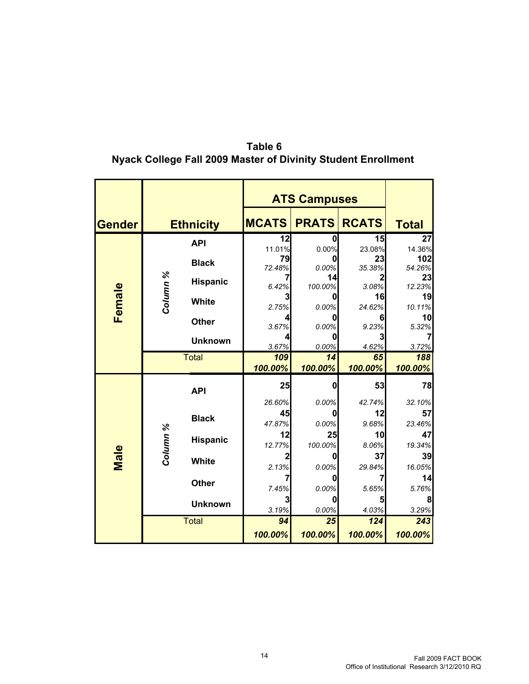|               |          |                  |              | <b>ATS Campuses</b> |              |               |  |  |
|---------------|----------|------------------|--------------|---------------------|--------------|---------------|--|--|
| <b>Gender</b> |          | <b>Ethnicity</b> | <b>MCATS</b> | <b>PRATS</b>        | <b>RCATS</b> | <b>Total</b>  |  |  |
|               |          | <b>API</b>       | 12           |                     | 15           | 27            |  |  |
|               |          | <b>Black</b>     | 11.01%<br>79 | 0.00%               | 23.08%<br>23 | 14.36%<br>102 |  |  |
|               |          |                  | 72.48%       | 0.00%               | 35.38%       | 54.26%        |  |  |
|               |          | <b>Hispanic</b>  | 6.42%        | 14<br>100.00%       | 3.08%        | 23<br>12.23%  |  |  |
|               | Column % | <b>White</b>     | 3            |                     | 16           | 19            |  |  |
| Female        |          | <b>Other</b>     | 2.75%<br>4   | 0.00%               | 24.62%<br>6  | 10.11%<br>10  |  |  |
|               |          |                  | 3.67%        | 0.00%               | 9.23%        | 5.32%         |  |  |
|               |          | <b>Unknown</b>   | 4<br>3.67%   | 0.00%               | 3<br>4.62%   | 3.72%         |  |  |
|               |          | <b>Total</b>     | 109          | 14                  | 65           | 188           |  |  |
|               |          |                  | 100.00%      | 100.00%             | 100.00%      | 100.00%       |  |  |
|               |          |                  |              |                     |              |               |  |  |
|               |          | <b>API</b>       | 25           | Ω                   | 53           |               |  |  |
|               |          |                  | 26.60%       | 0.00%               | 42.74%       | 32.10%        |  |  |
|               |          | <b>Black</b>     | 45           | 0                   | 12           | 57            |  |  |
|               |          |                  | 47.87%       | 0.00%               | 9.68%        | 23.46%        |  |  |
|               |          | <b>Hispanic</b>  | 12<br>12.77% | 25<br>100.00%       | 10<br>8.06%  | 47<br>19.34%  |  |  |
|               |          |                  | 2            |                     | 37           | 78<br>39      |  |  |
| Male          | Column % | <b>White</b>     | 2.13%        | 0.00%               | 29.84%       | 16.05%        |  |  |
|               |          | <b>Other</b>     | 7            |                     |              | 14            |  |  |
|               |          |                  | 7.45%        | 0.00%               | 5.65%        | 5.76%         |  |  |
|               |          | <b>Unknown</b>   | 3<br>3.19%   | 0.00%               | 5<br>4.03%   | 8<br>3.29%    |  |  |
|               |          | <b>Total</b>     | 94           | 25                  | 124          | 243           |  |  |

#### **Table 6 Nyack College Fall 2009 Master of Divinity Student Enrollment**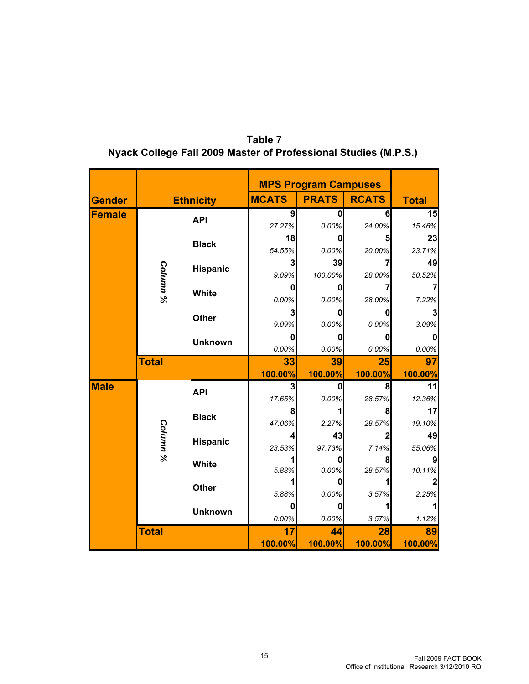|             |                     |                  |              | <b>MPS Program Campuses</b> |                |               |
|-------------|---------------------|------------------|--------------|-----------------------------|----------------|---------------|
| Gender      |                     | <b>Ethnicity</b> | <b>MCATS</b> | <b>PRATS</b>                | <b>RCATS</b>   | <b>Total</b>  |
| Female      |                     | <b>API</b>       | 9            | 0                           | 6              | 15            |
|             |                     |                  | 27.27%       | 0.00%                       | 24.00%         | 15.46%        |
|             |                     | <b>Black</b>     | 18           | 0                           | 5              | 23            |
|             |                     |                  | 54.55%       | 0.00%                       | 20.00%         | 23.71%        |
|             |                     |                  | 3            | 39                          |                | 49            |
|             | Column %            | <b>Hispanic</b>  | 9.09%        | 100.00%                     | 28.00%         | 50.52%        |
|             |                     |                  | 0            |                             |                |               |
|             |                     | <b>White</b>     | 0.00%        | 0.00%                       | 28.00%         | 7.22%         |
|             |                     |                  | 3            | 0                           | 0              | 3             |
|             |                     | <b>Other</b>     | 9.09%        | 0.00%                       | 0.00%          | 3.09%         |
|             |                     | <b>Unknown</b>   | 0            | 0                           | 0              |               |
|             |                     |                  | 0.00%        | 0.00%                       | 0.00%          | 0.00%         |
|             | <b>Total</b>        |                  | 33           | 39                          | 25             | 97            |
|             |                     |                  | 100.00%      | 100.00%                     | 100.00%        | 100.00%       |
| <b>Male</b> |                     |                  | 3            | 0                           | 8              | 11            |
|             |                     | <b>API</b>       |              |                             |                |               |
|             |                     |                  | 17.65%       | 0.00%                       | 28.57%         | 12.36%        |
|             |                     |                  | 8            |                             | 8              | 17            |
|             |                     | <b>Black</b>     | 47.06%       | 2.27%                       | 28.57%         | 19.10%        |
|             |                     |                  | 4            | 43                          | $\overline{2}$ | 49            |
|             |                     | Hispanic         | 23.53%       | 97.73%                      | 7.14%          | 55.06%        |
|             | Column <sup>9</sup> |                  |              |                             | 8              |               |
|             |                     | White            | 5.88%        | 0.00%                       | 28.57%         | 10.11%        |
|             |                     |                  |              |                             |                |               |
|             |                     | <b>Other</b>     | 5.88%        | 0.00%                       | 3.57%          | 2.25%         |
|             |                     |                  | $\mathbf 0$  | 0                           |                |               |
|             |                     | <b>Unknown</b>   | 0.00%        | 0.00%                       | 3.57%          | 1.12%         |
|             | <b>Total</b>        |                  | 17           | 44                          | 28             | 89<br>100.00% |

**Table 7 Nyack College Fall 2009 Master of Professional Studies (M.P.S.)**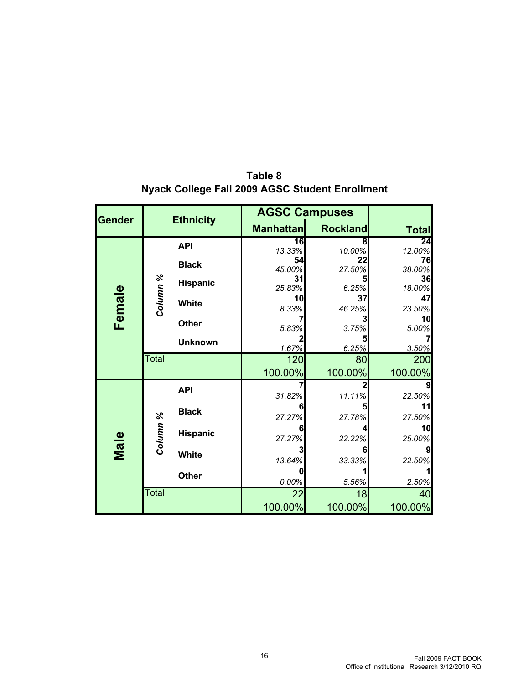| <b>Gender</b> | <b>Ethnicity</b> |                   | <b>AGSC Campuses</b>      |                 |              |
|---------------|------------------|-------------------|---------------------------|-----------------|--------------|
|               |                  |                   | <b>Manhattan</b>          | <b>Rockland</b> | <b>Total</b> |
|               |                  | <b>API</b>        | $\overline{16}$<br>13.33% | 8<br>10.00%     | 24<br>12.00% |
|               |                  | <b>Black</b>      | 54<br>45.00%              | 22<br>27.50%    | 76<br>38.00% |
|               |                  | <b>Hispanic</b>   | 31                        |                 | 36           |
| Female        |                  | Column %<br>White | 25.83%<br>10              | 6.25%<br>37     | 18.00%<br>47 |
|               |                  |                   | 8.33%                     | 46.25%          | 23.50%<br>10 |
|               |                  | <b>Other</b>      | 5.83%                     | 3.75%           | 5.00%        |
|               |                  | <b>Unknown</b>    | 1.67%                     | 6.25%           | 3.50%        |
|               | <b>Total</b>     |                   | 120                       | 80              | 200          |
|               |                  |                   | 100.00%                   | 100.00%         | 100.00%      |
|               |                  | <b>API</b>        | 31.82%                    | 11.11%          | 22.50%       |
|               |                  | <b>Black</b>      | 27.27%                    | 27.78%          | 27.50%       |
|               | Column %         | <b>Hispanic</b>   |                           |                 | 10           |
| Male          |                  |                   | 27.27%                    | 22.22%          | 25.00%       |
|               |                  | <b>White</b>      | 13.64%                    | 33.33%          | 22.50%       |
|               |                  | <b>Other</b>      | 0.00%                     | 5.56%           | 2.50%        |
|               | Total            |                   | 22                        | 18              | 40           |
|               |                  |                   | 100.00%                   | 100.00%         | 100.00%      |

**Table 8 Nyack College Fall 2009 AGSC Student Enrollment**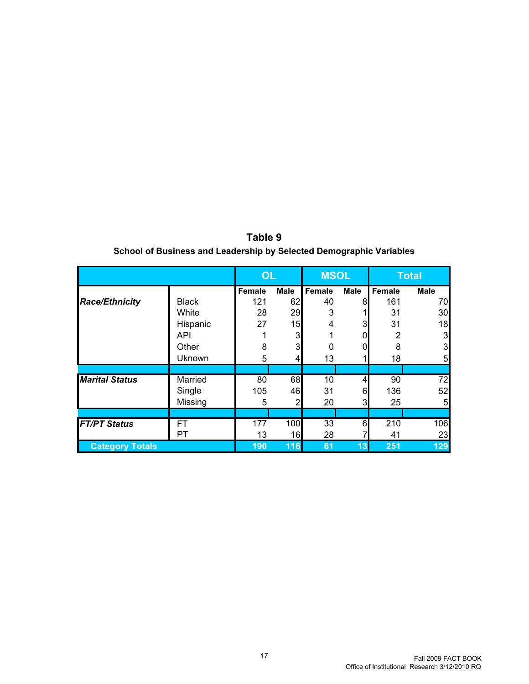|                        |               | <b>OL</b>     |                | <b>MSOL</b> |             |                | <b>Total</b>    |
|------------------------|---------------|---------------|----------------|-------------|-------------|----------------|-----------------|
|                        |               | <b>Female</b> | <b>Male</b>    | Female      | <b>Male</b> | Female         | <b>Male</b>     |
| <b>Race/Ethnicity</b>  | <b>Black</b>  | 121           | 62             | 40          | 8           | 161            | 70              |
|                        | White         | 28            | 29             | 3           |             | 31             | 30              |
|                        | Hispanic      | 27            | 15             | 4           | 3           | 31             | 18              |
|                        | <b>API</b>    |               | 3              |             | 0           | $\overline{2}$ | 3               |
|                        | Other         | 8             | 3              | $\Omega$    | 0           | 8              | 3               |
|                        | <b>Uknown</b> | 5             | 4              | 13          |             | 18             | 5               |
|                        |               |               |                |             |             |                |                 |
| <b>Marital Status</b>  | Married       | 80            | 68             | 10          | 4           | 90             | $\overline{72}$ |
|                        | Single        | 105           | 46             | 31          | 6           | 136            | 52              |
|                        | Missing       | 5             | $\overline{2}$ | 20          | 3           | 25             | 5               |
|                        |               |               |                |             |             |                |                 |
| <b>FT/PT</b> Status    | FT            | 177           | 100            | 33          | 6           | 210            | 106             |
|                        | <b>PT</b>     | 13            | 16             | 28          |             | 41             | 23              |
| <b>Category Totals</b> |               | 190           | 116            | 61          | 13          | 251            | 129             |

**Table 9 School of Business and Leadership by Selected Demographic Variables**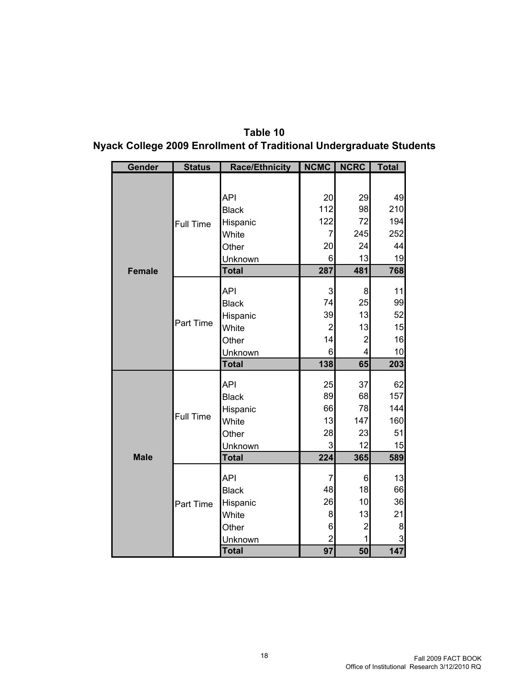| Gender        | <b>Status</b>    | <b>Race/Ethnicity</b> | <b>NCMC</b>        | <b>NCRC</b>             | <b>Total</b> |
|---------------|------------------|-----------------------|--------------------|-------------------------|--------------|
|               |                  |                       |                    |                         |              |
|               |                  | <b>API</b>            | 20                 | 29                      | 49           |
|               |                  | <b>Black</b>          | 112                | 98                      | 210          |
|               |                  |                       | 122                | 72                      | 194          |
|               | <b>Full Time</b> | Hispanic<br>White     | $\overline{7}$     | 245                     | 252          |
|               |                  | Other                 | 20                 | 24                      | 44           |
|               |                  | Unknown               | 6                  | 13                      | 19           |
| <b>Female</b> |                  | <b>Total</b>          | 287                | 481                     | 768          |
|               |                  |                       |                    |                         |              |
|               |                  | <b>API</b>            | $\mathbf{3}$       | 8                       | 11           |
|               |                  | <b>Black</b>          | 74                 | 25                      | 99           |
|               |                  | Hispanic              | 39                 | 13                      | 52           |
|               | Part Time        | White                 | $\overline{c}$     | 13                      | 15           |
|               |                  | Other                 | 14                 | $\overline{c}$          | 16           |
|               |                  | <b>Unknown</b>        | $\,$ 6             | $\overline{\mathbf{4}}$ | 10           |
|               |                  | <b>Total</b>          | 138                | 65                      | 203          |
|               |                  |                       |                    |                         |              |
|               |                  | API                   | 25<br>89           | 37<br>68                | 62<br>157    |
|               |                  | <b>Black</b>          | 66                 | 78                      | 144          |
|               | <b>Full Time</b> | Hispanic              | 13                 | 147                     |              |
|               |                  | White                 |                    |                         | 160          |
|               |                  | Other                 | 28                 | 23                      | 51           |
| <b>Male</b>   |                  | Unknown               | $\mathsf 3$<br>224 | 12                      | 15           |
|               |                  | <b>Total</b>          |                    | 365                     | 589          |
|               |                  | API                   | $\boldsymbol{7}$   | $\,$ 6 $\,$             | 13           |
|               |                  | <b>Black</b>          | 48                 | 18                      | 66           |
|               | Part Time        | Hispanic              | 26                 | 10                      | 36           |
|               |                  | White                 | 8                  | 13                      | 21           |
|               |                  | Other                 | $\,$ 6             | $\overline{2}$          | 8            |
|               |                  | Unknown               | $\overline{2}$     |                         | 3            |
|               |                  | <b>Total</b>          | $\overline{97}$    | 50                      | 147          |

#### **Nyack College 2009 Enrollment of Traditional Undergraduate Students Table 10**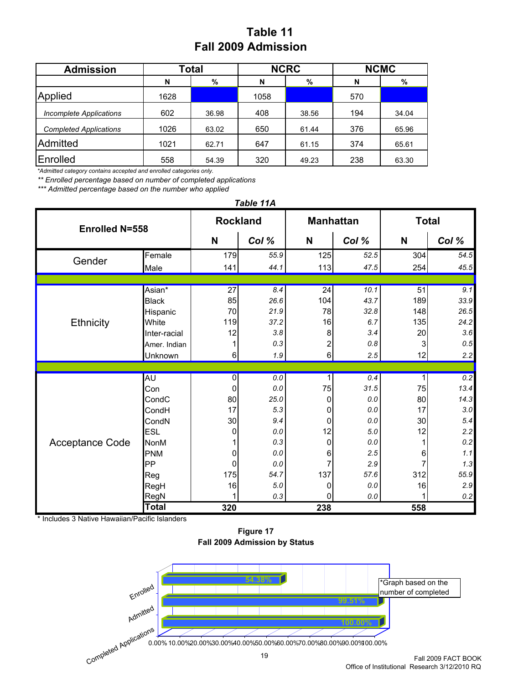### **Table 11 Fall 2009 Admission**

| <b>Admission</b>               | Total |       |      | <b>NCRC</b> | <b>NCMC</b> |       |  |
|--------------------------------|-------|-------|------|-------------|-------------|-------|--|
|                                | N     | %     | N    | %           | N           | %     |  |
| Applied                        | 1628  |       | 1058 |             | 570         |       |  |
| <b>Incomplete Applications</b> | 602   | 36.98 | 408  | 38.56       | 194         | 34.04 |  |
| <b>Completed Applications</b>  | 1026  | 63.02 | 650  | 61.44       | 376         | 65.96 |  |
| Admitted                       | 1021  | 62.71 | 647  | 61.15       | 374         | 65.61 |  |
| Enrolled                       | 558   | 54.39 | 320  | 49.23       | 238         | 63.30 |  |

*\*Admitted category contains accepted and enrolled categories only.*

*\*\* Enrolled percentage based on number of completed applications*

*\*\*\* Admitted percentage based on the number who applied*

**N** *Col %* **N** *Col %* **N** *Col %* Female 179 *55.9* 125 *52.5* 304 *54.5* Male 141 *44.1* 113 *47.5* 254 *45.5* Asian\* 27 *8.4* 24 *10.1* 51 *9.1* Black 85 *26.6* 104 *43.7* 189 *33.9* Hispanic 70 *21.9* 78 *32.8* 148 *26.5* White 119 *37.2* 16 *6.7* 135 *24.2* Inter-racial 12 *3.8* 8 *3.4* 20 *3.6* Amer. Indian 1 *0.3* 2 *0.8* 3 *0.5* Unknown 6 *1.9* 6 *2.5* 12 *2.2* AU 0 *0.0* 1 *0.4* 1 *0.2* Con 0 *0.0* 75 *31.5* 75 *13.4* CondC 80 *25.0* 0 *0.0* 80 *14.3* CondH 17 *5.3* 0 *0.0* 17 *3.0* CondN 30 *9.4* 0 *0.0* 30 *5.4* ESL 0 *0.0* 12 *5.0* 12 *2.2* NonM 1 *0.3* 0 *0.0* 1 *0.2* PNM 0 *0.0* 6 *2.5* 6 *1.1* PP 0 *0.0* 7 *2.9* 7 *1.3* Reg 175 *54.7* 137 *57.6* 312 *55.9* RegH 16 *5.0* 0 *0.0* 16 *2.9* RegN 1 *0.3* 0 *0.0* 1 *0.2* **Total 320 238 558** *Table 11A* Acceptance Code Gender **Enrolled N=558 Rockland Manhattan Total Ethnicity** 

Includes 3 Native Hawaiian/Pacific Islanders

**Figure 17 Fall 2009 Admission by Status**

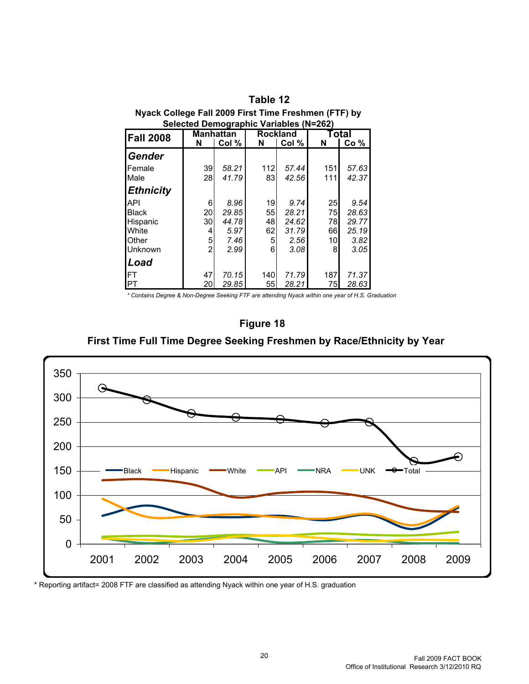| -----            | <br><b>Selected Demographic Variables (N=262)</b> |                           |                              |       |     |                           |
|------------------|---------------------------------------------------|---------------------------|------------------------------|-------|-----|---------------------------|
| <b>Fall 2008</b> | N                                                 | <b>Manhattan</b><br>Col % | <b>Rockland</b><br>Col%<br>N |       | N   | Total<br>Co <sub>96</sub> |
| <b>Gender</b>    |                                                   |                           |                              |       |     |                           |
| Female           | 39                                                | 58.21                     | 112                          | 57.44 | 151 | 57.63                     |
| Male             | 28                                                | 41.79                     | 83                           | 42.56 | 111 | 42.37                     |
| <b>Ethnicity</b> |                                                   |                           |                              |       |     |                           |
| API              | 6                                                 | 8.96                      | 19 <sup>l</sup>              | 9.74  | 25  | 9.54                      |
| <b>Black</b>     | 20                                                | 29.85                     | 55                           | 28.21 | 75  | 28.63                     |
| Hispanic         | 30                                                | 44.78                     | 48                           | 24.62 | 78  | 29.77                     |
| White            | 4                                                 | 5.97                      | 62                           | 31.79 | 66  | 25.19                     |
| <b>Other</b>     | 5                                                 | 7.46                      | 5                            | 2.56  | 10  | 3.82                      |
| IUnknown         | 2                                                 | 2.99                      | 6                            | 3.08  | 8   | 3.05                      |
| <b>Load</b>      |                                                   |                           |                              |       |     |                           |
| IΕT              | 47                                                | 70.15                     | 140                          | 71.79 | 187 | 71.37                     |
| <b>IPT</b>       | 20                                                | 29.85                     | 55                           | 28.21 | 75  | 28.63                     |

## **Nyack College Fall 2009 First Time Freshmen (FTF) by Table 12**

*\* Contains Degree & Non-Degree Seeking FTF are attending Nyack within one year of H.S. Graduation*



**First Time Full Time Degree Seeking Freshmen by Race/Ethnicity by Year**



\* Reporting artifact= 2008 FTF are classified as attending Nyack within one year of H.S. graduation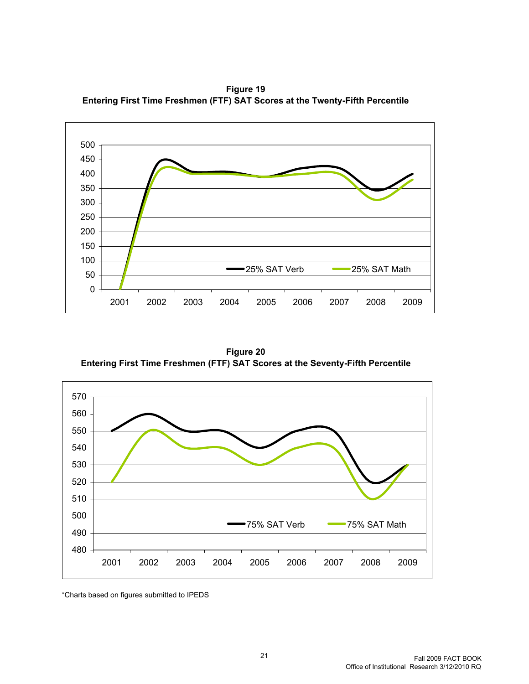**Figure 19 Entering First Time Freshmen (FTF) SAT Scores at the Twenty-Fifth Percentile**



**Figure 20 Entering First Time Freshmen (FTF) SAT Scores at the Seventy-Fifth Percentile**



\*Charts based on figures submitted to IPEDS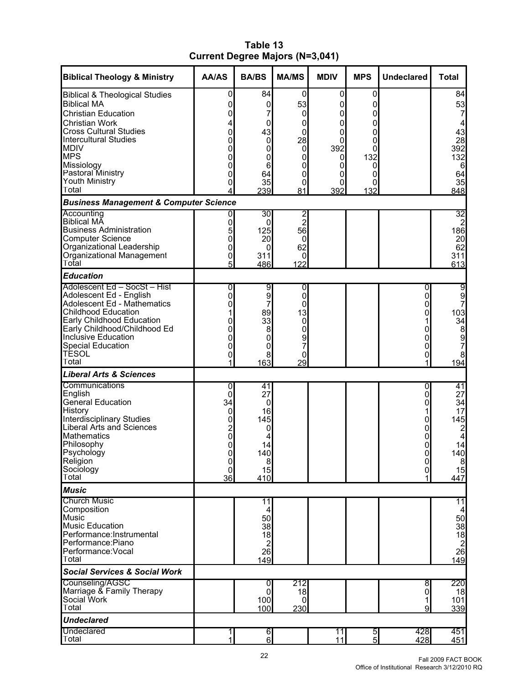| Table 13                               |  |
|----------------------------------------|--|
| <b>Current Degree Majors (N=3,041)</b> |  |

| <b>Biblical Theology &amp; Ministry</b>                                    | <b>AA/AS</b>   | <b>BA/BS</b>               | <b>MA/MS</b>  | <b>MDIV</b> | <b>MPS</b>    | <b>Undeclared</b> | <b>Total</b>                          |
|----------------------------------------------------------------------------|----------------|----------------------------|---------------|-------------|---------------|-------------------|---------------------------------------|
| <b>Biblical &amp; Theological Studies</b>                                  | 0              | 84                         | 0             | 0           | 0             |                   | 84                                    |
| <b>Biblical MA</b>                                                         | 0              | 0                          | 53            | 0           | 0             |                   | 53                                    |
| <b>Christian Education</b>                                                 | 0              | 7                          | 0             | 0           | 0             |                   | 7                                     |
| <b>Christian Work</b><br><b>Cross Cultural Studies</b>                     | 4<br>0         | 0<br>43                    | 0<br>0        | 0<br>0      | 0<br>0        |                   | 4<br>43                               |
| <b>Intercultural Studies</b>                                               | 0              | 0                          | 28            | 0           | 0             |                   | 28                                    |
| <b>MDIV</b>                                                                | 0              | 0                          | $\mathbf 0$   | 392         | 0             |                   | 392                                   |
| <b>MPS</b><br>Missiology                                                   | 0              | 0                          | 0             | 0           | 132           |                   | 132                                   |
| Pastoral Ministry                                                          | 0<br>0         | $6\phantom{1}6$<br>64      | 0<br>0        | 0<br>0      | 0<br>0        |                   | 6<br>64                               |
| Youth Ministry                                                             | 0              | 35                         | 0             | 0           | 0             |                   | 35                                    |
| lTotal                                                                     |                | 239                        | 81            | 392         | 132           |                   | 848                                   |
| <b>Business Management &amp; Computer Science</b><br>Accounting            |                | 30                         |               |             |               |                   | 32                                    |
| <b>Biblical MA</b>                                                         | 0              | $\Omega$                   | $\frac{2}{2}$ |             |               |                   | $\overline{2}$                        |
| <b>Business Administration</b>                                             | 5              | 125                        | 56            |             |               |                   | 186                                   |
| Computer Science<br>Organizational Leadership<br>Organizational Management | 0<br>0         | 20<br>0                    | 0<br>62       |             |               |                   | 20<br>62                              |
|                                                                            | 0              | 311                        | 0             |             |               |                   | 311                                   |
| Total                                                                      | 5              | 486                        | 122           |             |               |                   | 613                                   |
| <b>Education</b>                                                           |                |                            |               |             |               |                   |                                       |
| Adolescent Ed - SocSt - Hist                                               | 0              | 9                          | 0             |             |               | 0                 | $\overline{9}$                        |
| Adolescent Ed - English<br>Adolescent Ed - Mathematics                     | 0<br>0         | $\overline{9}$<br>7        | 0<br>0        |             |               | 0<br>0            | 9<br>7                                |
| <b>Childhood Education</b>                                                 |                | 89                         | 13            |             |               | 0                 | 103                                   |
| Early Childhood Education<br>Early Childhood/Childhood Ed                  | 0              | 33                         | 0             |             |               |                   | 34                                    |
|                                                                            | 0              | 8                          | 0             |             |               |                   | $\begin{array}{c} 8 \\ 9 \end{array}$ |
| Inclusive Education<br>Special Education                                   | 0              | 0<br>$\mathbf 0$           | 9<br>7        |             |               | 0                 | 7                                     |
| <b>TESOL</b>                                                               | 0<br>0         | 8                          | 0             |             |               | 0<br>0            | 8                                     |
| Total                                                                      |                | 163                        | 29            |             |               |                   | 194                                   |
| <b>Liberal Arts &amp; Sciences</b>                                         |                |                            |               |             |               |                   |                                       |
| Communications                                                             | 0              | 41                         |               |             |               | 0                 | 41                                    |
| English<br>General Education                                               | 0<br>34        | 27<br>0                    |               |             |               | 0<br>0            | 27<br>34                              |
| History                                                                    | 0              | 16                         |               |             |               |                   | 17                                    |
| Interdisciplinary Studies<br>Liberal Arts and Sciences                     | 0              | 145                        |               |             |               | 0                 | 145                                   |
|                                                                            | $\overline{c}$ | 0                          |               |             |               | 0                 | $\overline{c}$                        |
| <b>Mathematics</b><br>Philosophy                                           | 0<br>0         | 4<br>14                    |               |             |               | 0<br>0            | $\overline{\mathbf{4}}$<br>14         |
| Psychology                                                                 | $\mathbf 0$    | 140                        |               |             |               | 0l                | 140                                   |
| <b>Religion</b>                                                            | $\pmb{0}$      | 8 <sup>1</sup>             |               |             |               | $\overline{0}$    | $\boldsymbol{8}$                      |
| Sociology<br>Total                                                         | 0<br>36        | 15<br>410                  |               |             |               | $\pmb{0}$         | 15<br>447                             |
| <b>Music</b>                                                               |                |                            |               |             |               |                   |                                       |
| <b>Church Music</b>                                                        |                | $\overline{11}$            |               |             |               |                   | 11                                    |
| Composition                                                                |                | 4                          |               |             |               |                   |                                       |
| Music<br>Music Education                                                   |                | 50                         |               |             |               |                   | 50                                    |
| Performance: Instrumental                                                  |                | 38<br>18                   |               |             |               |                   | 38<br>18                              |
| Performance:Piano                                                          |                | $\mathbf 2$                |               |             |               |                   | $\overline{c}$                        |
| Performance: Vocal                                                         |                | 26                         |               |             |               |                   | 26                                    |
| Total                                                                      |                | 149                        |               |             |               |                   | 149                                   |
| <b>Social Services &amp; Social Work</b><br>Counseling/AGSC                |                |                            |               |             |               |                   |                                       |
| Marriage & Family Therapy                                                  |                | 0<br>$\mathbf 0$           | 212<br>18     |             |               | 8<br>0            | 220<br>18                             |
| Social Work                                                                |                | 100                        | 0             |             |               | 1                 | 101                                   |
| Total                                                                      |                | 100                        | 230           |             |               | 9                 | 339                                   |
| <b>Undeclared</b>                                                          |                |                            |               |             |               |                   |                                       |
| Undeclared<br>Total                                                        | 1<br>1         | $6 \mid$<br>$6\phantom{a}$ |               | 11<br>11    | $\frac{5}{5}$ | 428<br>428        | 451<br>451                            |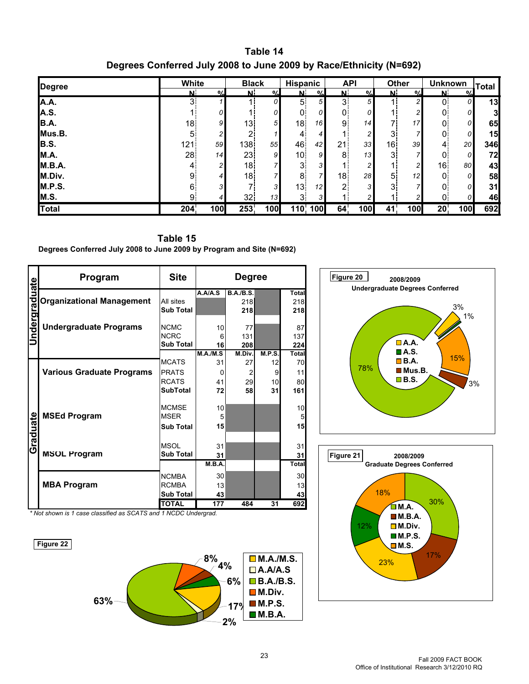**Table 14 Degrees Conferred July 2008 to June 2009 by Race/Ethnicity (N=692)**

| Degree       | White          |                | <b>Black</b>   |                | Hispanic        |                 | <b>API</b>     |               | Other          |                | <b>Unknown</b> |                 | <b>Total</b>            |
|--------------|----------------|----------------|----------------|----------------|-----------------|-----------------|----------------|---------------|----------------|----------------|----------------|-----------------|-------------------------|
|              | $\alpha$<br>N  |                | N              | $\frac{0}{6}$  | N.              | $\alpha$        | N.             | $\frac{0}{6}$ | N.             | $\frac{0}{6}$  | N              | $\frac{0}{6}$   |                         |
| A.A.         | 3              |                |                | 0              | 5 <sub>1</sub>  | 51              | 3 <sup>1</sup> | 5             |                | 2              | 0.             | 0               | 13                      |
| A.S.         |                | 0              |                | 0              | $\mathbf 0$     | 0               | 0              | 0             |                | 2              | 0              | $\Omega$        | $\overline{\mathbf{3}}$ |
| B.A.         | 18             | 9              | 13             | 5 <sup>1</sup> | 18              | 16              | 9              | 14            | 7)             | 17             | 0              | $\Omega$        | 65                      |
| Mus.B.       | 5              | 2              | 2              |                | 4               | $\overline{4}$  |                | 2             | 3              |                | 0              | 0               | 15                      |
| B.S.         | 121            | 59             | 138            | 55             | 46              | 42 <sub>1</sub> | 21             | 33            | 16             | 39             | 4              | 20 <sub>l</sub> | 346                     |
| M.A.         | 28             | 14             | 23             | 9              | 10 <sub>1</sub> | 9               | 8              | 13            | $\mathbf{3}$   |                | 0              | 0               | 72                      |
| M.B.A.       | $\overline{4}$ | $\overline{c}$ | 18             | 7              | 3 <sup>1</sup>  | 3               |                | 2             |                | $\overline{c}$ | 16             | 80              | 43                      |
| M.Div.       | 9              | 4              | 18             | 7              | 8               | $\mathbf{z}$    | 18             | 28            | 5              | 12             | $\mathbf 0$    | $\Omega$        | 58                      |
| M.P.S.       | 6.             | 3              | $\overline{ }$ | 3              | 13              | 12              | C              | 3             | 3 <sup>1</sup> |                | 0              | 0               | 31                      |
| M.S.         | 9              | $\overline{4}$ | 32             | 13             | $\mathbf{3}$    | $\mathbf{3}$    |                | 2             |                | 2              | 0              | $\Omega$        | 46                      |
| <b>Total</b> | 204            | 100            | 253            | 100            |                 | 110' 100        | 64             | 100           | 41             | 100            | 20             | 100             | 692                     |

**Table 15 Degrees Conferred July 2008 to June 2009 by Program and Site (N=692)**

| <b>Jndergraduate</b> | Program                          | <b>Site</b>                |                        | <b>Degree</b>    |               |                     |
|----------------------|----------------------------------|----------------------------|------------------------|------------------|---------------|---------------------|
|                      |                                  |                            | $\overline{A.A/A}$ . S | <b>B.A./B.S.</b> |               | Total               |
|                      | <b>Organizational Management</b> | All sites                  |                        | 218              |               | 218                 |
|                      |                                  | <b>Sub Total</b>           |                        | 218              |               | 218                 |
|                      |                                  |                            |                        |                  |               |                     |
|                      | <b>Undergraduate Programs</b>    | <b>NCMC</b><br><b>NCRC</b> | 10                     | 77               |               | 87                  |
|                      |                                  | <b>Sub Total</b>           | 6                      | 131              |               | 137                 |
|                      |                                  |                            | 16<br>M.A./M.S         | 208<br>M.Div.    | <b>M.P.S.</b> | 224<br><b>Total</b> |
|                      |                                  | <b>MCATS</b>               | 31                     | 27               | 12            | 70                  |
|                      |                                  | <b>PRATS</b>               | 0                      | $\overline{2}$   | 9             | 11                  |
|                      | <b>Various Graduate Programs</b> | <b>RCATS</b>               | 41                     | 29               | 10            | 80                  |
|                      |                                  | <b>SubTotal</b>            | 72                     | 58               | 31            | 161                 |
|                      |                                  |                            |                        |                  |               |                     |
|                      |                                  | <b>MCMSE</b>               | 10                     |                  |               | 10                  |
|                      | <b>MSEd Program</b>              | <b>MSER</b>                | 5                      |                  |               | 5                   |
|                      |                                  | <b>Sub Total</b>           | 15                     |                  |               | 15                  |
| Graduate             |                                  |                            |                        |                  |               |                     |
|                      |                                  | <b>MSOL</b>                | 31                     |                  |               | 31                  |
|                      | <b>MSOL Program</b>              | <b>Sub Total</b>           | 31                     |                  |               | 31                  |
|                      |                                  |                            | M.B.A.                 |                  |               | Total               |
|                      |                                  |                            |                        |                  |               |                     |
|                      |                                  | <b>NCMBA</b>               | 30                     |                  |               | 30                  |
|                      | <b>MBA Program</b>               | <b>RCMBA</b>               | 13                     |                  |               | 13                  |
|                      |                                  | <b>Sub Total</b>           | 43                     |                  |               | 43                  |
|                      |                                  | <b>TOTAL</b>               | 177                    | 484              | 31            | 692                 |

*\* Not shown is 1 case classified as SCATS and 1 NCDC Undergrad.*





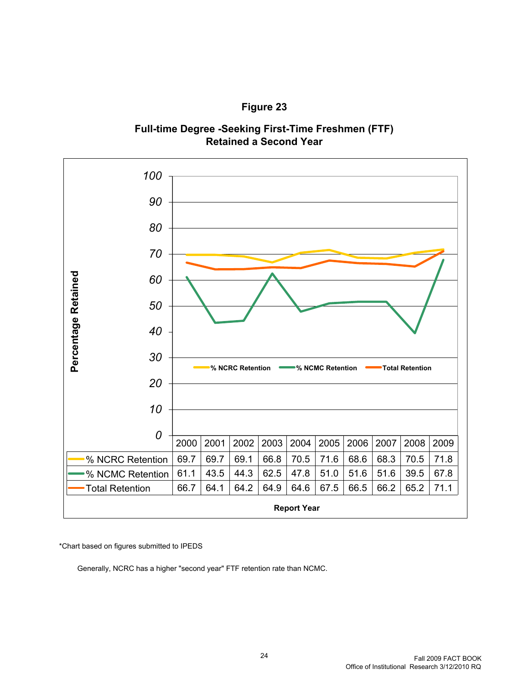





\*Chart based on figures submitted to IPEDS

Generally, NCRC has a higher "second year" FTF retention rate than NCMC.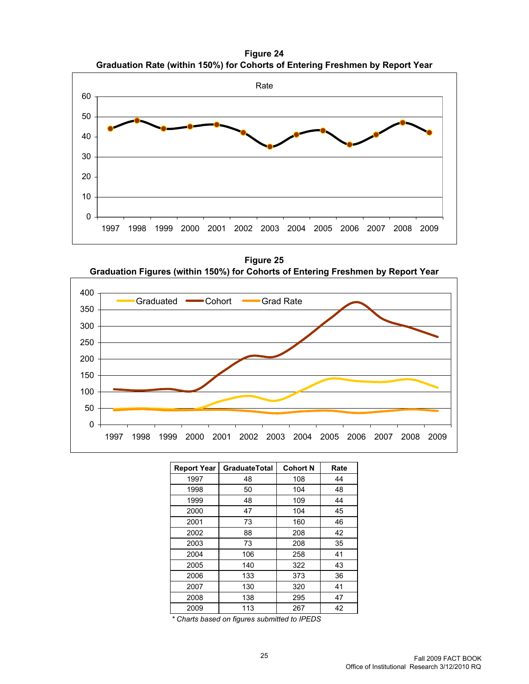**Figure 24 Graduation Rate (within 150%) for Cohorts of Entering Freshmen by Report Year**



**Figure 25 Graduation Figures (within 150%) for Cohorts of Entering Freshmen by Report Year**



| <b>Report Year</b> | <b>GraduateTotal</b> | <b>Cohort N</b> | Rate |
|--------------------|----------------------|-----------------|------|
| 1997               | 48                   | 108             | 44   |
| 1998               | 50                   | 104             | 48   |
| 1999               | 48                   | 109             | 44   |
| 2000               | 47                   | 104             | 45   |
| 2001               | 73                   | 160             | 46   |
| 2002               | 88                   | 208             | 42   |
| 2003               | 73                   | 208             | 35   |
| 2004               | 106                  | 258             | 41   |
| 2005               | 140                  | 322             | 43   |
| 2006               | 133                  | 373             | 36   |
| 2007               | 130                  | 320             | 41   |
| 2008               | 138                  | 295             | 47   |
| 2009               | 113                  | 267             | 42   |

*\* Charts based on figures submitted to IPEDS*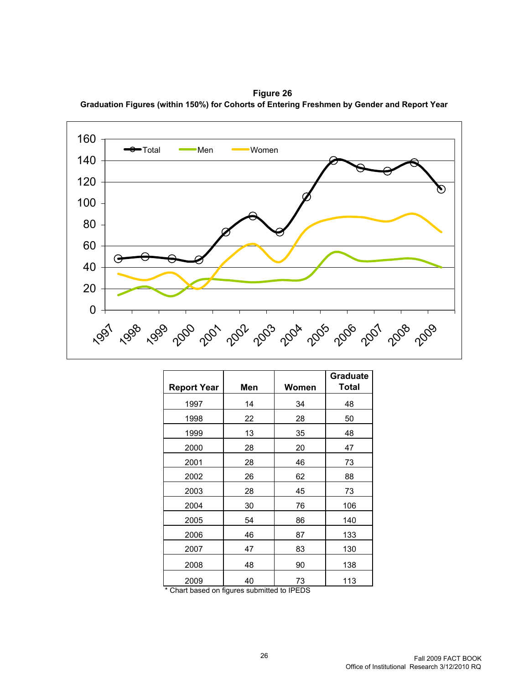**Figure 26 Graduation Figures (within 150%) for Cohorts of Entering Freshmen by Gender and Report Year**



|                    |     |       | <b>Graduate</b> |
|--------------------|-----|-------|-----------------|
| <b>Report Year</b> | Men | Women | <b>Total</b>    |
| 1997               | 14  | 34    | 48              |
| 1998               | 22  | 28    | 50              |
| 1999               | 13  | 35    | 48              |
| 2000               | 28  | 20    | 47              |
| 2001               | 28  | 46    | 73              |
| 2002               | 26  | 62    | 88              |
| 2003               | 28  | 45    | 73              |
| 2004               | 30  | 76    | 106             |
| 2005               | 54  | 86    | 140             |
| 2006               | 46  | 87    | 133             |
| 2007               | 47  | 83    | 130             |
| 2008               | 48  | 90    | 138             |
| 2009               | 40  | 73    | 113             |

\* Chart based on figures submitted to IPEDS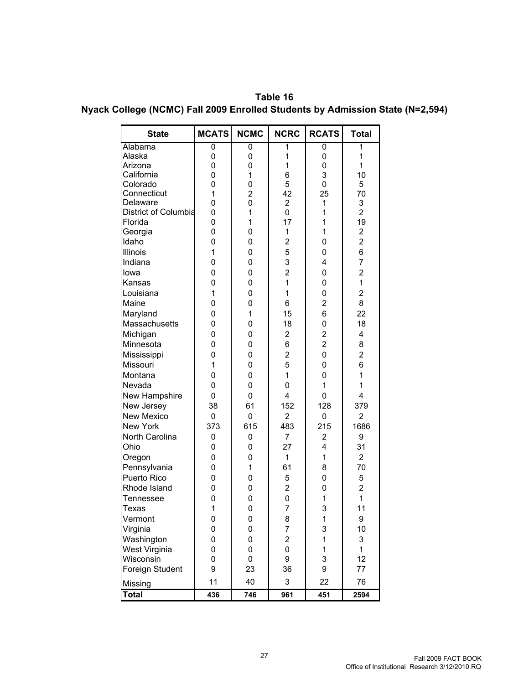**Table 16 Nyack College (NCMC) Fall 2009 Enrolled Students by Admission State (N=2,594)**

| <b>State</b>                | <b>MCATS</b>   | <b>NCMC</b>    | <b>NCRC</b>             | <b>RCATS</b>            | <b>Total</b>   |
|-----------------------------|----------------|----------------|-------------------------|-------------------------|----------------|
| Alabama                     | $\overline{0}$ | 0              | 1                       | $\overline{0}$          | 1              |
| Alaska                      | 0              | 0              | 1                       | 0                       | $\mathbf 1$    |
| Arizona                     | 0              | 0              | 1                       | 0                       | $\overline{1}$ |
| California                  | 0              | 1              | 6                       | 3                       | 10             |
| Colorado                    | 0              | 0              | 5                       | 0                       | 5              |
| Connecticut                 | 1              | 2              | 42                      | 25                      | 70             |
| Delaware                    | 0              | 0              | $\overline{2}$          | 1                       | 3              |
| <b>District of Columbia</b> | 0              | 1              | $\overline{0}$          | 1                       | $\overline{2}$ |
| Florida                     | 0              | 1              | 17                      | 1                       | 19             |
| Georgia                     | 0              | 0              | 1                       | 1                       | 2              |
| Idaho                       | 0              | 0              | $\overline{2}$          | 0                       | $\overline{2}$ |
| Illinois                    | 1              | 0              | 5                       | 0                       | 6              |
| Indiana                     | 0              | 0              | 3                       | 4                       | $\overline{7}$ |
| lowa                        | 0              | 0              | $\overline{2}$          | 0                       | $\overline{2}$ |
| Kansas                      | 0              | 0              | 1                       | 0                       | $\overline{1}$ |
| Louisiana                   | 1              | 0              | 1                       | 0                       | $\overline{2}$ |
| Maine                       | 0              | 0              | 6                       | $\overline{\mathbf{c}}$ | 8              |
| Maryland                    | 0              | 1              | 15                      | 6                       | 22             |
| Massachusetts               | 0              | 0              | 18                      | 0                       | 18             |
| Michigan                    | 0              | 0              | $\overline{2}$          | $\overline{2}$          | 4              |
| Minnesota                   | 0              | 0              | 6                       | $\overline{2}$          | 8              |
| Mississippi                 | 0              | 0              | 2                       | 0                       | $\overline{2}$ |
| Missouri                    | 1              | 0              | 5                       | 0                       | 6              |
| Montana                     | 0              | 0              | 1                       | 0                       | 1              |
| Nevada                      | 0              | 0              | 0                       | 1                       | 1              |
| New Hampshire               | 0              | 0              | 4                       | 0                       | 4              |
| New Jersey                  | 38             | 61             | 152                     | 128                     | 379            |
| <b>New Mexico</b>           |                |                | $\overline{2}$          | 0                       | $\overline{2}$ |
|                             | 0              | 0              |                         |                         |                |
| New York                    | 373            | 615            | 483                     | 215                     | 1686           |
| North Carolina              | 0              | 0              | $\overline{7}$          | $\overline{2}$          | 9              |
| Ohio                        | 0              | 0              | 27                      | 4                       | 31             |
| Oregon                      | 0              | 0              | 1                       | 1                       | $\overline{2}$ |
| Pennsylvania                | 0              | 1              | 61                      | 8                       | 70             |
| Puerto Rico                 | 0              | 0              | 5                       | 0                       | 5              |
| Rhode Island                | 0              | 0              | $\overline{\mathbf{c}}$ | 0                       | $\overline{2}$ |
| Tennessee                   | 0              | 0              | $\overline{0}$          | $\mathbf 1$             | $\overline{1}$ |
| Texas                       | $\overline{1}$ | $\overline{0}$ | $\overline{7}$          | 3                       | 11             |
| Vermont                     | 0              | 0              | 8                       | 1                       | 9              |
| Virginia                    | 0              | 0              | $\overline{7}$          | 3                       | 10             |
| Washington                  | 0              | 0              | $\overline{\mathbf{c}}$ | $\mathbf 1$             | 3              |
| West Virginia               | 0              | 0              | 0                       | 1                       | 1              |
| Wisconsin                   | 0              | 0              | 9                       | 3                       | 12             |
| Foreign Student             | 9              | 23             | 36                      | 9                       | 77             |
| Missing                     | 11             | 40             | 3                       | 22                      | 76             |
| <b>Total</b>                | 436            | 746            | 961                     | 451                     | 2594           |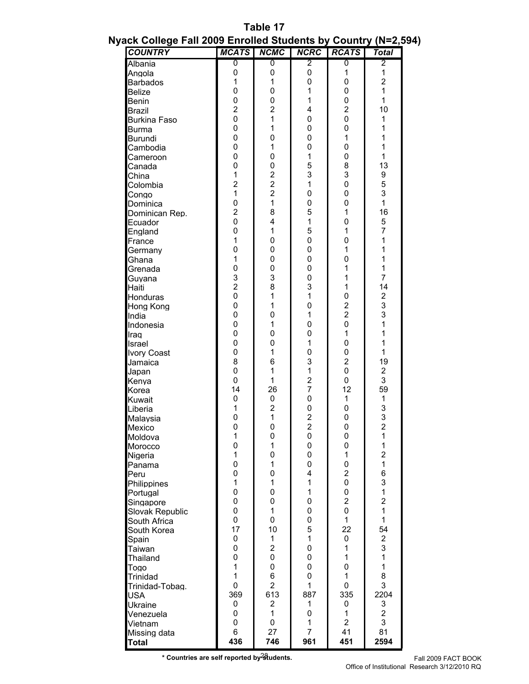| Table 17                                                       |  |
|----------------------------------------------------------------|--|
| Nyack College Fall 2009 Enrolled Students by Country (N=2,594) |  |

|                 | <b>COUNTRY</b>      | <b>MCATS</b>   | <b>NCMC</b>             | <b>NCRC</b>                      | <b>RCATS</b>                | <b>Total</b>            |
|-----------------|---------------------|----------------|-------------------------|----------------------------------|-----------------------------|-------------------------|
| Albania         |                     | 0              | 0                       | $\overline{2}$                   | 0                           | 2                       |
| Angola          |                     | 0              | 0                       | 0                                | 1                           | 1                       |
| <b>Barbados</b> |                     | 1              | 1                       | 0                                | $\pmb{0}$                   | 2                       |
| <b>Belize</b>   |                     | 0              | 0                       | 1                                | 0                           | $\mathbf{1}$            |
| <b>Benin</b>    |                     | 0              | 0                       | 1                                | 0                           | 1                       |
| <b>Brazil</b>   |                     | $\overline{2}$ | $\overline{2}$          | 4                                | $\overline{c}$              | 10                      |
|                 | <b>Burkina Faso</b> | 0              | 1                       | 0                                | $\pmb{0}$                   | 1                       |
| <b>Burma</b>    |                     | 0              | 1                       | 0                                | 0                           | 1                       |
| <b>Burundi</b>  |                     | 0              | 0                       | 0                                | 1                           | 1                       |
|                 | Cambodia            | 0              | 1                       | 0                                | 0                           | 1                       |
|                 | Cameroon            | 0              | 0                       | 1                                | 0                           | 1                       |
| Canada          |                     | 0              | $\overline{0}$          | 5                                | 8                           | 13                      |
| China           |                     | 1              | $\overline{c}$          | 3                                | 3                           | 9                       |
| Colombia        |                     | 2              | $\overline{\mathbf{c}}$ | 1                                | 0                           | 5                       |
| Congo           |                     | 1              | $\overline{2}$          | 0                                | 0                           | 3                       |
| Dominica        |                     | 0              | 1                       | 0                                | 0                           | 1                       |
|                 | Dominican Rep.      | $\overline{2}$ | 8                       | 5                                | 1                           | 16                      |
| Ecuador         |                     | 0              | 4                       | 1                                | 0                           | 5                       |
| England         |                     | 0              | 1                       | 5                                | 1                           | 7                       |
| France          |                     | 1              | 0                       | 0                                | 0                           | 1                       |
| Germany         |                     | 0              | 0                       | 0                                | 1                           | 1                       |
| Ghana           |                     | $\mathbf{1}$   | 0                       | 0                                | 0                           | 1                       |
| Grenada         |                     | 0              | $\overline{0}$          | 0                                | 1                           | 1                       |
| Guyana          |                     | 3              | 3                       | 0                                | 1                           | 7                       |
| Haiti           |                     | $\overline{2}$ | 8                       | 3                                | 1                           | 14                      |
| Honduras        |                     | 0              | 1                       | 1                                | 0                           | $\frac{2}{3}$           |
|                 | Hong Kong           | 0              | 1                       | 0                                | $\overline{c}$              |                         |
| India           |                     | 0              | $\overline{0}$          | 1                                | $\overline{2}$              | 3                       |
|                 | Indonesia           | 0              | 1                       | 0                                | 0                           | 1                       |
| Iraq            |                     | 0              | 0                       | 0                                | 1                           | 1                       |
| Israel          |                     | 0              | 0<br>1                  | 1                                | 0                           | 1<br>1                  |
|                 | <b>Ivory Coast</b>  | 0              | 6                       | 0                                | $\pmb{0}$<br>$\overline{2}$ |                         |
| Jamaica         |                     | 8<br>0         | 1                       | 3                                |                             | 19                      |
| Japan           |                     | 0              | 1                       | 1                                | 0                           | 2<br>3                  |
| Kenya           |                     | 14             | 26                      | $\overline{c}$<br>$\overline{7}$ | 0<br>12                     | 59                      |
| Korea           |                     | $\pmb{0}$      | 0                       | 0                                | 1                           |                         |
| Kuwait          |                     | 1              | $\overline{2}$          | 0                                | $\pmb{0}$                   | 1<br>3                  |
| Liberia         |                     | 0              | 1                       |                                  | 0                           |                         |
| Malaysia        |                     | 0              | $\overline{0}$          | $\frac{2}{2}$                    | 0                           | 3<br>$\overline{2}$     |
| Mexico          |                     | 1              | 0                       |                                  |                             | 1                       |
| Moldova         |                     | 0              | 1                       | 0<br>0                           | 0<br>$\pmb{0}$              | 1                       |
| Morocco         |                     | 1              | $\overline{0}$          | 0                                | 1                           | 2                       |
| Nigeria         |                     | 0              | 1                       | 0                                | 0                           | 1                       |
| Panama<br>Peru  |                     | 0              | 0                       | 4                                | $\overline{2}$              | 6                       |
|                 | Philippines         | 1              | 1                       | $\mathbf{1}$                     | $\pmb{0}$                   | 3                       |
| Portugal        |                     | 0              | $\mathbf 0$             | $\mathbf{1}$                     | 0                           | 1                       |
|                 | Singapore           | 0              | 0                       | 0                                | $\overline{2}$              | $\overline{2}$          |
|                 | Slovak Republic     | 0              | 1                       | 0                                | 0                           | 1                       |
|                 | South Africa        | 0              | 0                       | 0                                | 1                           | 1                       |
|                 | South Korea         | 17             | 10                      | 5                                | 22                          | 54                      |
| Spain           |                     | 0              | 1                       | $\mathbf{1}$                     | 0                           | $\overline{\mathbf{c}}$ |
| Taiwan          |                     | 0              | $\overline{2}$          | 0                                | 1                           | 3                       |
| Thailand        |                     | 0              | 0                       | 0                                | 1                           | 1                       |
| Togo            |                     | 1              | 0                       | 0                                | 0                           | 1                       |
| Trinidad        |                     | 1              | 6                       | 0                                | 1                           | 8                       |
|                 | Trinidad-Tobag.     | 0              | $\overline{2}$          | $\mathbf{1}$                     | 0                           | 3                       |
| <b>USA</b>      |                     | 369            | 613                     | 887                              | 335                         | 2204                    |
| <b>Ukraine</b>  |                     | 0              | $\boldsymbol{2}$        | 1                                | 0                           | 3                       |
|                 | Venezuela           | 0              | 1                       | 0                                | 1                           | $\overline{2}$          |
| Vietnam         |                     | 0              | 0                       | 1                                | $\overline{2}$              | 3                       |
|                 | Missing data        | 6              | 27                      | $\overline{7}$                   | 41                          | 81                      |
| <b>Total</b>    |                     | 436            | 746                     | 961                              | 451                         | 2594                    |

\* Countries are self reported by<sup>2§</sup>tudents.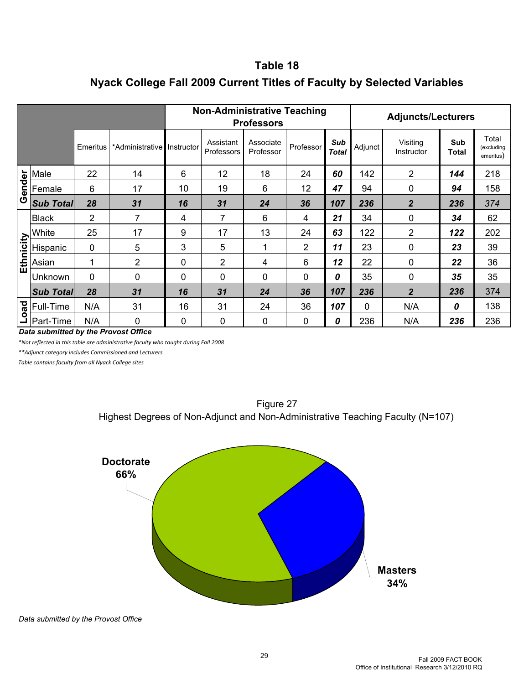## **Table 18 Nyack College Fall 2009 Current Titles of Faculty by Selected Variables**

|                                      |                         |          |                            | <b>Non-Administrative Teaching</b><br><b>Professors</b> |                         |                        |           |                     | <b>Adjuncts/Lecturers</b> |                        |              |                                  |  |
|--------------------------------------|-------------------------|----------|----------------------------|---------------------------------------------------------|-------------------------|------------------------|-----------|---------------------|---------------------------|------------------------|--------------|----------------------------------|--|
|                                      |                         | Emeritus | *Administrative Instructor |                                                         | Assistant<br>Professors | Associate<br>Professor | Professor | Sub<br><b>Total</b> | Adjunct                   | Visiting<br>Instructor | Sub<br>Total | Total<br>(excluding<br>emeritus) |  |
|                                      | Male                    | 22       | 14                         | 6                                                       | 12                      | 18                     | 24        | 60                  | 142                       | $\overline{2}$         | 144          | 218                              |  |
| Gender                               | Female                  | 6        | 17                         | 10                                                      | 19                      | 6                      | 12        | 47                  | 94                        | 0                      | 94           | 158                              |  |
|                                      | <b>Sub Total</b>        | 28       | 31                         | 16                                                      | 31                      | 24                     | 36        | 107                 | 236                       | $\overline{2}$         | 236          | 374                              |  |
| <b>Ethnicity</b>                     | <b>Black</b>            | 2        | 7                          | 4                                                       | 7                       | 6                      | 4         | 21                  | 34                        | 0                      | 34           | 62                               |  |
|                                      | White                   | 25       | 17                         | 9                                                       | 17                      | 13                     | 24        | 63                  | 122                       | $\overline{2}$         | 122          | 202                              |  |
|                                      | Hispanic                | 0        | 5                          | 3                                                       | 5                       | 1                      | 2         | 11                  | 23                        | 0                      | 23           | 39                               |  |
|                                      | Asian                   |          | $\overline{2}$             | 0                                                       | $\overline{2}$          | 4                      | 6         | 12                  | 22                        | 0                      | 22           | 36                               |  |
|                                      | Unknown                 | 0        | 0                          | 0                                                       | 0                       | 0                      | 0         | 0                   | 35                        | 0                      | 35           | 35                               |  |
|                                      | <b>Sub Total</b>        | 28       | 31                         | 16                                                      | 31                      | 24                     | 36        | 107                 | 236                       | $\overline{2}$         | 236          | 374                              |  |
|                                      | $\frac{1}{8}$ Full-Time | N/A      | 31                         | 16                                                      | 31                      | 24                     | 36        | 107                 | $\mathbf 0$               | N/A                    | 0            | 138                              |  |
|                                      | – Part-Time             | N/A      | 0                          | 0                                                       | 0                       | 0                      | 0         | 0                   | 236                       | N/A                    | 236          | 236                              |  |
| Data submitted by the Provost Office |                         |          |                            |                                                         |                         |                        |           |                     |                           |                        |              |                                  |  |

*\*Not reflected in this table are administrative faculty who taught during Fall 2008*

*\*\*Adjunct category includes Commissioned and Lecturers*

*Table contains faculty from all Nyack College sites*



Figure 27 Highest Degrees of Non-Adjunct and Non-Administrative Teaching Faculty (N=107)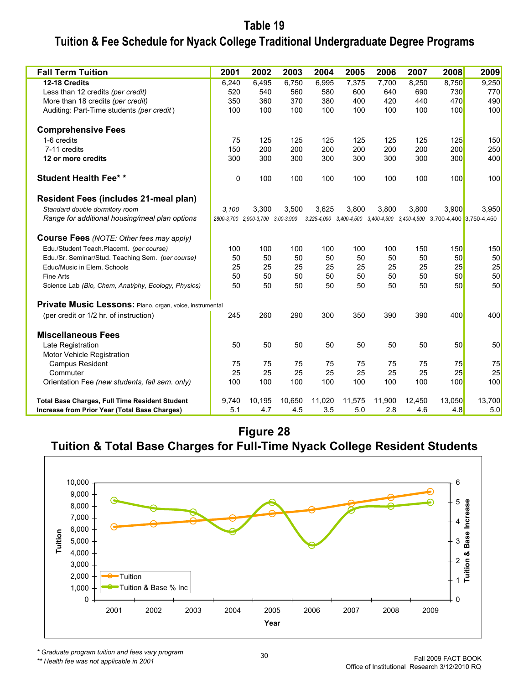## **Tuition & Fee Schedule for Nyack College Traditional Undergraduate Degree Programs Table 19**

| <b>Fall Term Tuition</b>                                 | 2001  | 2002                              | 2003   | 2004   | 2005   | 2006   | 2007   | 2008                                                                    | 2009   |
|----------------------------------------------------------|-------|-----------------------------------|--------|--------|--------|--------|--------|-------------------------------------------------------------------------|--------|
| 12-18 Credits                                            |       | 6,495                             | 6,750  | 6,995  | 7,375  | 7,700  | 8,250  | 8,750                                                                   | 9,250  |
| Less than 12 credits (per credit)                        |       | 540                               | 560    | 580    | 600    | 640    | 690    | 730                                                                     | 770    |
| More than 18 credits (per credit)                        |       | 350<br>360                        | 370    | 380    | 400    | 420    | 440    | 470                                                                     | 490    |
| Auditing: Part-Time students (per credit)                | 100   | 100                               | 100    | 100    | 100    | 100    | 100    | 100                                                                     | 100    |
| <b>Comprehensive Fees</b>                                |       |                                   |        |        |        |        |        |                                                                         |        |
| 1-6 credits                                              | 75    | 125                               | 125    | 125    | 125    | 125    | 125    | 125                                                                     | 150    |
| 7-11 credits                                             | 150   | 200                               | 200    | 200    | 200    | 200    | 200    | 200                                                                     | 250    |
| 12 or more credits                                       | 300   | 300                               | 300    | 300    | 300    | 300    | 300    | 300                                                                     | 400    |
| <b>Student Health Fee**</b>                              | 0     | 100                               | 100    | 100    | 100    | 100    | 100    | 100                                                                     | 100    |
| <b>Resident Fees (includes 21-meal plan)</b>             |       |                                   |        |        |        |        |        |                                                                         |        |
| Standard double dormitory room                           | 3,100 | 3,300                             | 3,500  | 3,625  | 3,800  | 3,800  | 3,800  | 3,900                                                                   | 3,950  |
| Range for additional housing/meal plan options           |       | 2800-3,700 2,900-3,700 3,00-3,900 |        |        |        |        |        | 3,225-4,000 3,400-4,500 3,400-4,500 3,400-4,500 3,700-4,400 3,750-4,450 |        |
| <b>Course Fees</b> (NOTE: Other fees may apply)          |       |                                   |        |        |        |        |        |                                                                         |        |
| Edu./Student Teach.Placemt. (per course)                 | 100   | 100                               | 100    | 100    | 100    | 100    | 150    | 150                                                                     | 150    |
| Edu./Sr. Seminar/Stud. Teaching Sem. (per course)        | 50    | 50                                | 50     | 50     | 50     | 50     | 50     | 50                                                                      | 50     |
| Educ/Music in Elem. Schools                              | 25    | 25                                | 25     | 25     | 25     | 25     | 25     | 25                                                                      | 25     |
| Fine Arts                                                | 50    | 50                                | 50     | 50     | 50     | 50     | 50     | 50                                                                      | 50     |
| Science Lab (Bio, Chem, Anat/phy, Ecology, Physics)      | 50    | 50                                | 50     | 50     | 50     | 50     | 50     | 50                                                                      | 50     |
| Private Music Lessons: Piano, organ, voice, instrumental |       |                                   |        |        |        |        |        |                                                                         |        |
| (per credit or 1/2 hr. of instruction)                   | 245   | 260                               | 290    | 300    | 350    | 390    | 390    | 400                                                                     | 400    |
| <b>Miscellaneous Fees</b>                                |       |                                   |        |        |        |        |        |                                                                         |        |
| Late Registration                                        | 50    | 50                                | 50     | 50     | 50     | 50     | 50     | 50                                                                      | 50     |
| <b>Motor Vehicle Registration</b>                        |       |                                   |        |        |        |        |        |                                                                         |        |
| Campus Resident                                          | 75    | 75                                | 75     | 75     | 75     | 75     | 75     | 75                                                                      | 75     |
| Commuter                                                 | 25    | 25                                | 25     | 25     | 25     | 25     | 25     | 25                                                                      | 25     |
| Orientation Fee (new students, fall sem. only)           | 100   | 100                               | 100    | 100    | 100    | 100    | 100    | 100                                                                     | 100    |
| <b>Total Base Charges, Full Time Resident Student</b>    | 9,740 | 10,195                            | 10,650 | 11,020 | 11,575 | 11,900 | 12,450 | <b>13,050</b>                                                           | 13,700 |
| Increase from Prior Year (Total Base Charges)            | 5.1   | 4.7                               | 4.5    | 3.5    | 5.0    | 2.8    | 4.6    | 4.8                                                                     | 5.0    |

### **Figure 28 Tuition & Total Base Charges for Full-Time Nyack College Resident Students**



*\* Graduate program tuition and fees vary program*

*\*\* Health fee was not applicable in 2001*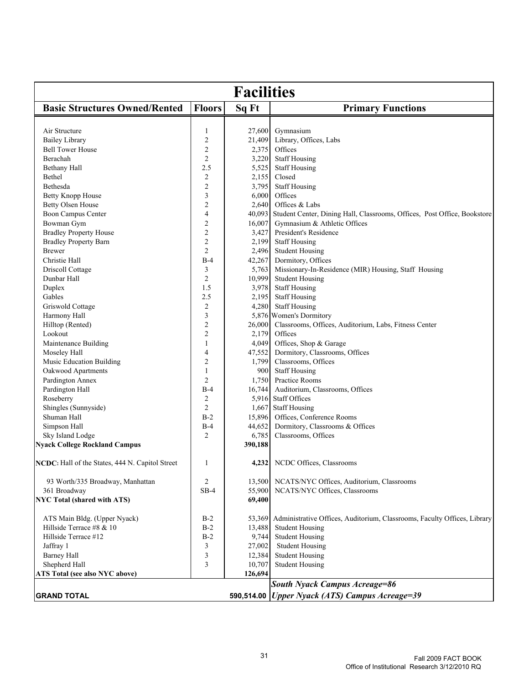| <b>Facilities</b>                               |                         |            |                                                                          |  |  |  |  |
|-------------------------------------------------|-------------------------|------------|--------------------------------------------------------------------------|--|--|--|--|
| <b>Basic Structures Owned/Rented</b>            | <b>Floors</b>           | Sq Ft      | <b>Primary Functions</b>                                                 |  |  |  |  |
| Air Structure                                   | $\mathbf{1}$            | 27,600     | Gymnasium                                                                |  |  |  |  |
| <b>Bailey Library</b>                           | $\sqrt{2}$              | 21,409     | Library, Offices, Labs                                                   |  |  |  |  |
| <b>Bell Tower House</b>                         | $\overline{c}$          | 2,375      | Offices                                                                  |  |  |  |  |
| Berachah                                        | $\overline{c}$          | 3,220      | <b>Staff Housing</b>                                                     |  |  |  |  |
| Bethany Hall                                    | 2.5                     | 5,525      | <b>Staff Housing</b>                                                     |  |  |  |  |
| Bethel                                          | $\overline{c}$          | 2,155      | Closed                                                                   |  |  |  |  |
| Bethesda                                        | $\sqrt{2}$              | 3,795      | <b>Staff Housing</b>                                                     |  |  |  |  |
| Betty Knopp House                               | $\mathfrak{Z}$          | 6,000      | Offices                                                                  |  |  |  |  |
| Betty Olsen House                               | $\overline{c}$          | 2,640      | Offices & Labs                                                           |  |  |  |  |
| <b>Boon Campus Center</b>                       | $\overline{4}$          | 40,093     | Student Center, Dining Hall, Classrooms, Offices, Post Office, Bookstore |  |  |  |  |
| Bowman Gym                                      | $\overline{c}$          | 16,007     | Gymnasium & Athletic Offices                                             |  |  |  |  |
| <b>Bradley Property House</b>                   | $\sqrt{2}$              | 3,427      | President's Residence                                                    |  |  |  |  |
| <b>Bradley Property Barn</b>                    | $\sqrt{2}$              | 2,199      | <b>Staff Housing</b>                                                     |  |  |  |  |
| <b>Brewer</b>                                   | $\overline{c}$          | 2,496      | <b>Student Housing</b>                                                   |  |  |  |  |
| Christie Hall                                   | $B-4$                   | 42,267     | Dormitory, Offices                                                       |  |  |  |  |
| Driscoll Cottage                                | 3                       | 5,763      | Missionary-In-Residence (MIR) Housing, Staff Housing                     |  |  |  |  |
| Dunbar Hall                                     | $\overline{c}$          | 10,999     | <b>Student Housing</b>                                                   |  |  |  |  |
| Duplex                                          | 1.5                     | 3,978      | <b>Staff Housing</b>                                                     |  |  |  |  |
| Gables                                          | 2.5                     | 2,195      | <b>Staff Housing</b>                                                     |  |  |  |  |
| Griswold Cottage                                | $\sqrt{2}$              | 4,280      | <b>Staff Housing</b>                                                     |  |  |  |  |
| Harmony Hall                                    | $\mathfrak{Z}$          |            | 5,876 Women's Dormitory                                                  |  |  |  |  |
| Hilltop (Rented)                                | $\overline{c}$          | 26,000     | Classrooms, Offices, Auditorium, Labs, Fitness Center                    |  |  |  |  |
| Lookout                                         | $\sqrt{2}$              | 2,179      | Offices                                                                  |  |  |  |  |
| Maintenance Building                            | $\mathbf{1}$            | 4,049      | Offices, Shop & Garage                                                   |  |  |  |  |
| Moseley Hall                                    | $\overline{4}$          | 47,552     | Dormitory, Classrooms, Offices                                           |  |  |  |  |
| Music Education Building                        | $\overline{c}$          | 1,799      | Classrooms, Offices                                                      |  |  |  |  |
| Oakwood Apartments                              | $\mathbf{1}$            | 900        | <b>Staff Housing</b>                                                     |  |  |  |  |
| Pardington Annex                                | $\overline{c}$          | 1,750      | Practice Rooms                                                           |  |  |  |  |
| Pardington Hall                                 | $B-4$                   | 16,744     | Auditorium, Classrooms, Offices                                          |  |  |  |  |
| Roseberry                                       | $\overline{\mathbf{c}}$ | 5,916      | Staff Offices                                                            |  |  |  |  |
| Shingles (Sunnyside)                            | $\overline{c}$          | 1,667      | <b>Staff Housing</b>                                                     |  |  |  |  |
| Shuman Hall                                     | $B-2$                   | 15,896     | Offices, Conference Rooms                                                |  |  |  |  |
| Simpson Hall                                    | $B-4$                   | 44,652     | Dormitory, Classrooms & Offices                                          |  |  |  |  |
| Sky Island Lodge                                | $\overline{2}$          | 6,785      | Classrooms, Offices                                                      |  |  |  |  |
| <b>Nyack College Rockland Campus</b>            |                         | 390,188    |                                                                          |  |  |  |  |
| NCDC: Hall of the States, 444 N. Capitol Street | 1                       |            | 4,232 NCDC Offices, Classrooms                                           |  |  |  |  |
| 93 Worth/335 Broadway, Manhattan                | 2                       | 13,500     | NCATS/NYC Offices, Auditorium, Classrooms                                |  |  |  |  |
| 361 Broadway                                    | $SB-4$                  | 55,900     | NCATS/NYC Offices, Classrooms                                            |  |  |  |  |
| <b>NYC Total (shared with ATS)</b>              |                         | 69,400     |                                                                          |  |  |  |  |
| ATS Main Bldg. (Upper Nyack)                    | $B-2$                   | 53,369     | Administrative Offices, Auditorium, Classrooms, Faculty Offices, Library |  |  |  |  |
| Hillside Terrace #8 & 10                        | $B-2$                   | 13,488     | <b>Student Housing</b>                                                   |  |  |  |  |
| Hillside Terrace #12                            | $B-2$                   | 9,744      | <b>Student Housing</b>                                                   |  |  |  |  |
| Jaffray 1                                       | 3                       | 27,002     | <b>Student Housing</b>                                                   |  |  |  |  |
| <b>Barney Hall</b>                              | 3                       | 12,384     | <b>Student Housing</b>                                                   |  |  |  |  |
| Shepherd Hall                                   | 3                       | 10,707     | <b>Student Housing</b>                                                   |  |  |  |  |
| ATS Total (see also NYC above)                  |                         | 126,694    |                                                                          |  |  |  |  |
|                                                 |                         |            | <b>South Nyack Campus Acreage=86</b>                                     |  |  |  |  |
| <b>GRAND TOTAL</b>                              |                         | 590,514.00 | <b>Upper Nyack (ATS) Campus Acreage=39</b>                               |  |  |  |  |